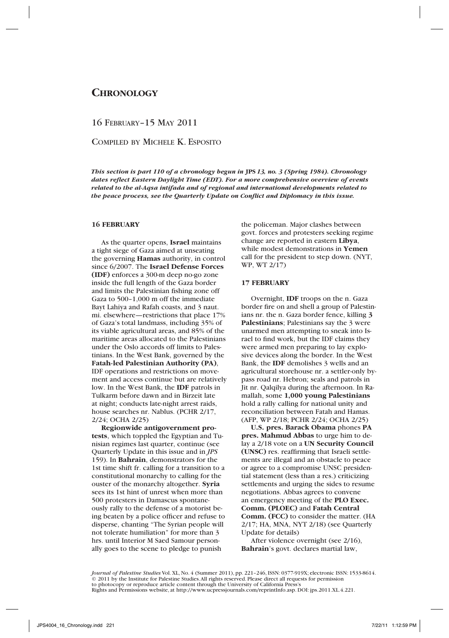# **Chronology**

16 February–15 May 2011

Compiled by Michele K. Esposito

*This section is part 110 of a chronology begun in* **JPS** *13, no. 3 (Spring 1984). Chronology dates reflect Eastern Daylight Time (EDT). For a more comprehensive overview of events related to the al-Aqsa intifada and of regional and international developments related to the peace process, see the Quarterly Update on Conflict and Diplomacy in this issue.*

# **16 FEBRUARY**

As the quarter opens, **Israel** maintains a tight siege of Gaza aimed at unseating the governing **Hamas** authority, in control since 6/2007. The **Israel Defense Forces (IDF)** enforces a 300-m deep no-go zone inside the full length of the Gaza border and limits the Palestinian fishing zone off Gaza to 500–1,000 m off the immediate Bayt Lahiya and Rafah coasts, and 3 naut. mi. elsewhere—restrictions that place 17% of Gaza's total landmass, including 35% of its viable agricultural areas, and 85% of the maritime areas allocated to the Palestinians under the Oslo accords off limits to Palestinians. In the West Bank, governed by the **Fatah-led Palestinian Authority (PA)**, IDF operations and restrictions on movement and access continue but are relatively low. In the West Bank, the **IDF** patrols in Tulkarm before dawn and in Birzeit late at night; conducts late-night arrest raids, house searches nr. Nablus. (PCHR 2/17, 2/24; OCHA 2/25)

**Regionwide antigovernment protests**, which toppled the Egyptian and Tunisian regimes last quarter, continue (see Quarterly Update in this issue and in *JPS* 159). In **Bahrain**, demonstrators for the 1st time shift fr. calling for a transition to a constitutional monarchy to calling for the ouster of the monarchy altogether. **Syria** sees its 1st hint of unrest when more than 500 protesters in Damascus spontaneously rally to the defense of a motorist being beaten by a police officer and refuse to disperse, chanting "The Syrian people will not tolerate humiliation" for more than 3 hrs. until Interior M Saed Samour personally goes to the scene to pledge to punish

the policeman. Major clashes between govt. forces and protesters seeking regime change are reported in eastern **Libya**, while modest demonstrations in **Yemen** call for the president to step down. (NYT, WP, WT 2/17)

#### **17 FEBRUARY**

Overnight, **IDF** troops on the n. Gaza border fire on and shell a group of Palestinians nr. the n. Gaza border fence, killing **3 Palestinians**; Palestinians say the 3 were unarmed men attempting to sneak into Israel to find work, but the IDF claims they were armed men preparing to lay explosive devices along the border. In the West Bank, the **IDF** demolishes 3 wells and an agricultural storehouse nr. a settler-only bypass road nr. Hebron; seals and patrols in Jit nr. Qalqilya during the afternoon. In Ramallah, some **1,000 young Palestinians** hold a rally calling for national unity and reconciliation between Fatah and Hamas. (AFP, WP 2/18; PCHR 2/24; OCHA 2/25)

**U.S. pres. Barack Obama** phones **PA pres. Mahmud Abbas** to urge him to delay a 2/18 vote on a **UN Security Council (UNSC)** res. reaffirming that Israeli settlements are illegal and an obstacle to peace or agree to a compromise UNSC presidential statement (less than a res.) criticizing settlements and urging the sides to resume negotiations. Abbas agrees to convene an emergency meeting of the **PLO Exec. Comm. (PLOEC)** and **Fatah Central Comm. (FCC)** to consider the matter. (HA 2/17; HA, MNA, NYT 2/18) (see Quarterly Update for details)

After violence overnight (see 2/16), **Bahrain**'s govt. declares martial law,

*Journal of Palestine Studies* Vol. XL, No. 4 (Summer 2011), pp. 221–246, ISSN: 0377-919X; electronic ISSN: 1533-8614. © 2011 by the Institute for Palestine Studies. All rights reserved. Please direct all requests for permission to photocopy or reproduce article content through the University of California Press's Rights and Permissions website, at http://www.ucpressjournals.com/reprintInfo.asp. DOI: jps.2011.XL.4.221.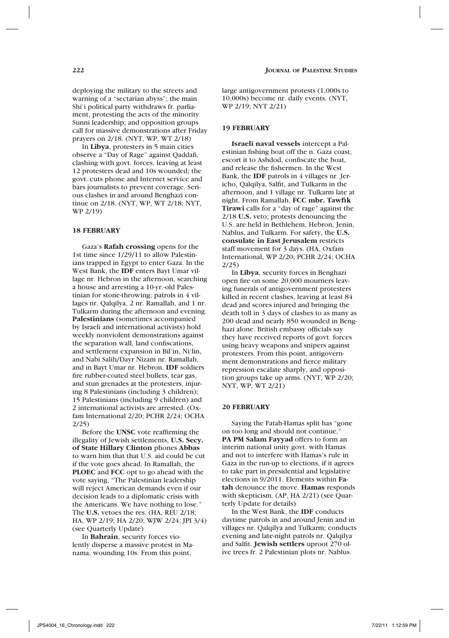In **Libya**, protesters in 5 main cities observe a "Day of Rage" against Qaddafi, clashing with govt. forces, leaving at least 12 protesters dead and 10s wounded; the govt. cuts phone and Internet service and bars journalists to prevent coverage. Serious clashes in and around Benghazi continue on 2/18. (NYT, WP, WT 2/18; NYT, WP 2/19)

### **18 FEBRUARY**

Gaza's **Rafah crossing** opens for the 1st time since 1/29/11 to allow Palestinians trapped in Egypt to enter Gaza. In the West Bank, the **IDF** enters Bayt Umar village nr. Hebron in the afternoon, searching a house and arresting a 10-yr.-old Palestinian for stone-throwing; patrols in 4 villages nr. Qalqilya, 2 nr. Ramallah, and 1 nr. Tulkarm during the afternoon and evening. **Palestinians** (sometimes accompanied by Israeli and international activists) hold weekly nonviolent demonstrations against the separation wall, land confiscations, and settlement expansion in Bil'in, Ni'lin, and Nabi Salih/Dayr Nizam nr. Ramallah, and in Bayt Umar nr. Hebron. **IDF** soldiers fire rubber-coated steel bullets, tear gas, and stun grenades at the protesters, injuring 8 Palestinians (including 3 children); 15 Palestinians (including 9 children) and 2 international activists are arrested. (Oxfam International 2/20; PCHR 2/24; OCHA 2/25)

Before the **UNSC** vote reaffirming the illegality of Jewish settlements, **U.S. Secy. of State Hillary Clinton** phones **Abbas** to warn him that that U.S. aid could be cut if the vote goes ahead. In Ramallah, the **PLOEC** and **FCC** opt to go ahead with the vote saying, "The Palestinian leadership will reject American demands even if our decision leads to a diplomatic crisis with the Americans. We have nothing to lose." The **U.S.** vetoes the res. (HA, REU 2/18; HA, WP 2/19; HA 2/20; WJW 2/24; JPI 3/4) (see Quarterly Update)

In **Bahrain**, security forces violently disperse a massive protest in Manama, wounding 10s. From this point,

#### **19 FEBRUARY**

**Israeli naval vessels** intercept a Palestinian fishing boat off the n. Gaza coast, escort it to Ashdod, confiscate the boat, and release the fishermen. In the West Bank, the **IDF** patrols in 4 villages nr. Jericho, Qalqilya, Salfit, and Tulkarm in the afternoon, and 1 village nr. Tulkarm late at night. From Ramallah, **FCC mbr. Tawfik Tirawi** calls for a "day of rage" against the 2/18 **U.S.** veto; protests denouncing the U.S. are held in Bethlehem, Hebron, Jenin, Nablus, and Tulkarm. For safety, the **U.S. consulate in East Jerusalem** restricts staff movement for 3 days. (HA, Oxfam International, WP 2/20; PCHR 2/24; OCHA 2/25)

In **Libya**, security forces in Benghazi open fire on some 20,000 mourners leaving funerals of antigovernment protesters killed in recent clashes, leaving at least 84 dead and scores injured and bringing the death toll in 3 days of clashes to as many as 200 dead and nearly 850 wounded in Benghazi alone. British embassy officials say they have received reports of govt. forces using heavy weapons and snipers against protesters. From this point, antigovernment demonstrations and fierce military repression escalate sharply, and opposition groups take up arms. (NYT, WP 2/20; NYT, WP, WT 2/21)

#### **20 FEBRUARY**

Saying the Fatah-Hamas split has "gone on too long and should not continue," **PA PM Salam Fayyad** offers to form an interim national unity govt. with Hamas and not to interfere with Hamas's rule in Gaza in the run-up to elections, if it agrees to take part in presidential and legislative elections in 9/2011. Elements within **Fatah** denounce the move. **Hamas** responds with skepticism. (AP, HA 2/21) (see Quarterly Update for details)

In the West Bank, the **IDF** conducts daytime patrols in and around Jenin and in villages nr. Qalqilya and Tulkarm; conducts evening and late-night patrols nr. Qalqilya and Salfit. **Jewish settlers** uproot 270 olive trees fr. 2 Palestinian plots nr. Nablus.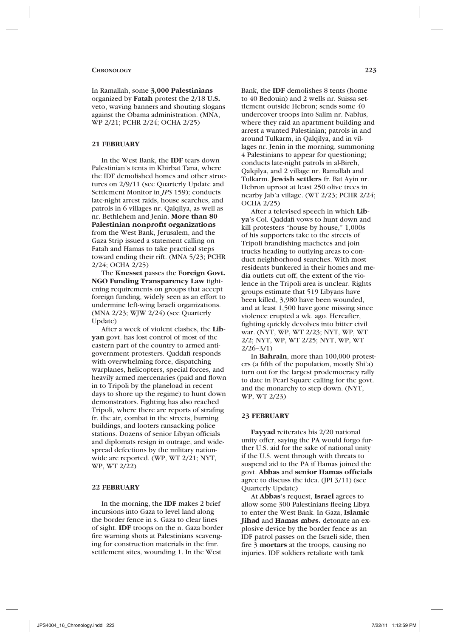In Ramallah, some **3,000 Palestinians** organized by **Fatah** protest the 2/18 **U.S.** veto, waving banners and shouting slogans against the Obama administration. (MNA, WP 2/21; PCHR 2/24; OCHA 2/25)

# **21 FEBRUARY**

In the West Bank, the **IDF** tears down Palestinian's tents in Khirbat Tana, where the IDF demolished homes and other structures on 2/9/11 (see Quarterly Update and Settlement Monitor in *JPS* 159); conducts late-night arrest raids, house searches, and patrols in 6 villages nr. Qalqilya, as well as nr. Bethlehem and Jenin. **More than 80 Palestinian nonprofit organizations** from the West Bank, Jerusalem, and the Gaza Strip issued a statement calling on Fatah and Hamas to take practical steps toward ending their rift. (MNA 5/23; PCHR 2/24; OCHA 2/25)

The **Knesset** passes the **Foreign Govt. NGO Funding Transparency Law** tightening requirements on groups that accept foreign funding, widely seen as an effort to undermine left-wing Israeli organizations. (MNA 2/23; WJW 2/24) (see Quarterly Update)

After a week of violent clashes, the **Libyan** govt. has lost control of most of the eastern part of the country to armed antigovernment protesters. Qaddafi responds with overwhelming force, dispatching warplanes, helicopters, special forces, and heavily armed mercenaries (paid and flown in to Tripoli by the planeload in recent days to shore up the regime) to hunt down demonstrators. Fighting has also reached Tripoli, where there are reports of strafing fr. the air, combat in the streets, burning buildings, and looters ransacking police stations. Dozens of senior Libyan officials and diplomats resign in outrage, and widespread defections by the military nationwide are reported. (WP, WT 2/21; NYT, WP, WT 2/22)

# **22 FEBRUARY**

In the morning, the **IDF** makes 2 brief incursions into Gaza to level land along the border fence in s. Gaza to clear lines of sight. **IDF** troops on the n. Gaza border fire warning shots at Palestinians scavenging for construction materials in the fmr. settlement sites, wounding 1. In the West

Bank, the **IDF** demolishes 8 tents (home to 40 Bedouin) and 2 wells nr. Suissa settlement outside Hebron; sends some 40 undercover troops into Salim nr. Nablus, where they raid an apartment building and arrest a wanted Palestinian; patrols in and around Tulkarm, in Qalqilya, and in villages nr. Jenin in the morning, summoning 4 Palestinians to appear for questioning; conducts late-night patrols in al-Bireh, Qalqilya, and 2 village nr. Ramallah and Tulkarm. **Jewish settlers** fr. Bat Ayin nr. Hebron uproot at least 250 olive trees in nearby Jab'a village. (WT 2/23; PCHR 2/24; OCHA 2/25)

After a televised speech in which **Libya**'s Col. Qaddafi vows to hunt down and kill protesters "house by house," 1,000s of his supporters take to the streets of Tripoli brandishing machetes and join trucks heading to outlying areas to conduct neighborhood searches. With most residents bunkered in their homes and media outlets cut off, the extent of the violence in the Tripoli area is unclear. Rights groups estimate that 519 Libyans have been killed, 3,980 have been wounded, and at least 1,500 have gone missing since violence erupted a wk. ago. Hereafter, fighting quickly devolves into bitter civil war. (NYT, WP, WT 2/23; NYT, WP, WT 2/2; NYT, WP, WT 2/25; NYT, WP, WT  $2/26 - 3/1$ 

In **Bahrain**, more than 100,000 protesters (a fifth of the population, mostly Shi'a) turn out for the largest prodemocracy rally to date in Pearl Square calling for the govt. and the monarchy to step down. (NYT, WP, WT 2/23)

#### **23 FEBRUARY**

**Fayyad** reiterates his 2/20 national unity offer, saying the PA would forgo further U.S. aid for the sake of national unity if the U.S. went through with threats to suspend aid to the PA if Hamas joined the govt. **Abbas** and **senior Hamas officials** agree to discuss the idea. (JPI 3/11) (see Quarterly Update)

At **Abbas**'s request, **Israel** agrees to allow some 300 Palestinians fleeing Libya to enter the West Bank. In Gaza, **Islamic Jihad** and **Hamas mbrs.** detonate an explosive device by the border fence as an IDF patrol passes on the Israeli side, then fire 3 **mortars** at the troops, causing no injuries. IDF soldiers retaliate with tank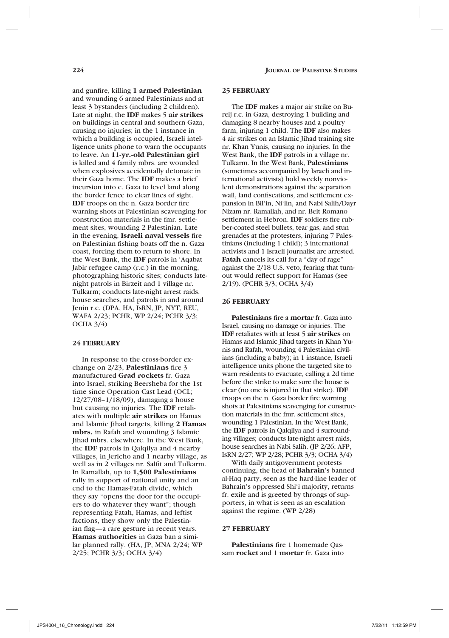and gunfire, killing **1 armed Palestinian** and wounding 6 armed Palestinians and at least 3 bystanders (including 2 children). Late at night, the **IDF** makes 5 **air strikes**  on buildings in central and southern Gaza, causing no injuries; in the 1 instance in which a building is occupied, Israeli intelligence units phone to warn the occupants to leave. An **11-yr.-old Palestinian girl** is killed and 4 family mbrs. are wounded when explosives accidentally detonate in their Gaza home. The **IDF** makes a brief incursion into c. Gaza to level land along the border fence to clear lines of sight. **IDF** troops on the n. Gaza border fire warning shots at Palestinian scavenging for construction materials in the fmr. settlement sites, wounding 2 Palestinian. Late in the evening, **Israeli naval vessels** fire on Palestinian fishing boats off the n. Gaza coast, forcing them to return to shore. In the West Bank, the **IDF** patrols in 'Aqabat Jabir refugee camp (r.c.) in the morning, photographing historic sites; conducts latenight patrols in Birzeit and 1 village nr. Tulkarm; conducts late-night arrest raids, house searches, and patrols in and around Jenin r.c. (DPA, HA, IsRN, JP, NYT, REU, WAFA 2/23; PCHR, WP 2/24; PCHR 3/3; OCHA  $3/4$ )

# **24 FEBRUARY**

In response to the cross-border exchange on 2/23, **Palestinians** fire 3 manufactured **Grad rockets** fr. Gaza into Israel, striking Beersheba for the 1st time since Operation Cast Lead (OCL; 12/27/08–1/18/09), damaging a house but causing no injuries. The **IDF** retaliates with multiple **air strikes** on Hamas and Islamic Jihad targets, killing **2 Hamas mbrs.** in Rafah and wounding 3 Islamic Jihad mbrs. elsewhere. In the West Bank, the **IDF** patrols in Qalqilya and 4 nearby villages, in Jericho and 1 nearby village, as well as in 2 villages nr. Salfit and Tulkarm. In Ramallah, up to **1,500 Palestinians** rally in support of national unity and an end to the Hamas-Fatah divide, which they say "opens the door for the occupiers to do whatever they want"; though representing Fatah, Hamas, and leftist factions, they show only the Palestinian flag—a rare gesture in recent years. **Hamas authorities** in Gaza ban a similar planned rally. (HA, JP, MNA 2/24; WP 2/25; PCHR 3/3; OCHA 3/4)

#### **25 FEBRUARY**

The **IDF** makes a major air strike on Bureij r.c. in Gaza, destroying 1 building and damaging 8 nearby houses and a poultry farm, injuring 1 child. The **IDF** also makes 4 air strikes on an Islamic Jihad training site nr. Khan Yunis, causing no injuries. In the West Bank, the **IDF** patrols in a village nr. Tulkarm. In the West Bank, **Palestinians**  (sometimes accompanied by Israeli and international activists) hold weekly nonviolent demonstrations against the separation wall, land confiscations, and settlement expansion in Bil'in, Ni'lin, and Nabi Salih/Dayr Nizam nr. Ramallah, and nr. Beit Romano settlement in Hebron. **IDF** soldiers fire rubber-coated steel bullets, tear gas, and stun grenades at the protesters, injuring 7 Palestinians (including 1 child); 3 international activists and 1 Israeli journalist are arrested. **Fatah** cancels its call for a "day of rage" against the 2/18 U.S. veto, fearing that turnout would reflect support for Hamas (see 2/19). (PCHR 3/3; OCHA 3/4)

#### **26 FEBRUARY**

**Palestinians** fire a **mortar** fr. Gaza into Israel, causing no damage or injuries. The **IDF** retaliates with at least 5 **air strikes** on Hamas and Islamic Jihad targets in Khan Yunis and Rafah, wounding 4 Palestinian civilians (including a baby); in 1 instance, Israeli intelligence units phone the targeted site to warn residents to evacuate, calling a 2d time before the strike to make sure the house is clear (no one is injured in that strike). **IDF**  troops on the n. Gaza border fire warning shots at Palestinians scavenging for construction materials in the fmr. settlement sites, wounding 1 Palestinian. In the West Bank, the **IDF** patrols in Qalqilya and 4 surrounding villages; conducts late-night arrest raids, house searches in Nabi Salih. (JP 2/26; AFP, IsRN 2/27; WP 2/28; PCHR 3/3; OCHA 3/4)

With daily antigovernment protests continuing, the head of **Bahrain**'s banned al-Haq party, seen as the hard-line leader of Bahrain's oppressed Shi'i majority, returns fr. exile and is greeted by throngs of supporters, in what is seen as an escalation against the regime. (WP 2/28)

# **27 FEBRUARY**

**Palestinians** fire 1 homemade Qassam **rocket** and 1 **mortar** fr. Gaza into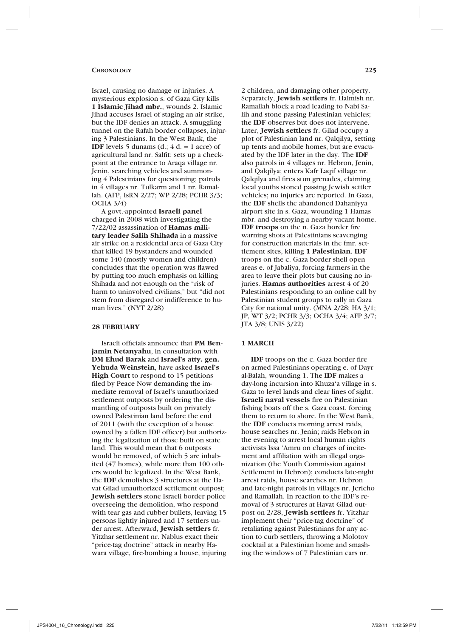#### **Chronology 225**

Israel, causing no damage or injuries. A mysterious explosion s. of Gaza City kills **1 Islamic Jihad mbr.**, wounds 2. Islamic Jihad accuses Israel of staging an air strike, but the IDF denies an attack. A smuggling tunnel on the Rafah border collapses, injuring 3 Palestinians. In the West Bank, the **IDF** levels 5 dunams  $(d.; 4 d. = 1 acc)$  of agricultural land nr. Salfit; sets up a checkpoint at the entrance to Araqa village nr. Jenin, searching vehicles and summoning 4 Palestinians for questioning; patrols in 4 villages nr. Tulkarm and 1 nr. Ramallah. (AFP, IsRN 2/27; WP 2/28; PCHR 3/3; OCHA 3/4)

A govt.-appointed **Israeli panel** charged in 2008 with investigating the 7/22/02 assassination of **Hamas military leader Salih Shihada** in a massive air strike on a residential area of Gaza City that killed 19 bystanders and wounded some 140 (mostly women and children) concludes that the operation was flawed by putting too much emphasis on killing Shihada and not enough on the "risk of harm to uninvolved civilians," but "did not stem from disregard or indifference to human lives." (NYT 2/28)

### **28 FEBRUARY**

Israeli officials announce that **PM Benjamin Netanyahu**, in consultation with **DM Ehud Barak** and **Israel's atty. gen. Yehuda Weinstein**, have asked **Israel's High Court** to respond to 15 petitions filed by Peace Now demanding the immediate removal of Israel's unauthorized settlement outposts by ordering the dismantling of outposts built on privately owned Palestinian land before the end of 2011 (with the exception of a house owned by a fallen IDF officer) but authorizing the legalization of those built on state land. This would mean that 6 outposts would be removed, of which 5 are inhabited (47 homes), while more than 100 others would be legalized. In the West Bank, the **IDF** demolishes 3 structures at the Havat Gilad unauthorized settlement outpost; **Jewish settlers** stone Israeli border police overseeing the demolition, who respond with tear gas and rubber bullets, leaving 15 persons lightly injured and 17 settlers under arrest. Afterward, **Jewish settlers** fr. Yitzhar settlement nr. Nablus exact their "price-tag doctrine" attack in nearby Hawara village, fire-bombing a house, injuring

2 children, and damaging other property. Separately, **Jewish settlers** fr. Halmish nr. Ramallah block a road leading to Nabi Salih and stone passing Palestinian vehicles; the **IDF** observes but does not intervene. Later, **Jewish settlers** fr. Gilad occupy a plot of Palestinian land nr. Qalqilya, setting up tents and mobile homes, but are evacuated by the IDF later in the day. The **IDF**  also patrols in 4 villages nr. Hebron, Jenin, and Qalqilya; enters Kafr Laqif village nr. Qalqilya and fires stun grenades, claiming local youths stoned passing Jewish settler vehicles; no injuries are reported. In Gaza, the **IDF** shells the abandoned Dahaniyya airport site in s. Gaza, wounding 1 Hamas mbr. and destroying a nearby vacant home. **IDF troops** on the n. Gaza border fire warning shots at Palestinians scavenging for construction materials in the fmr. settlement sites, killing **1 Palestinian**. **IDF**  troops on the c. Gaza border shell open areas e. of Jabaliya, forcing farmers in the area to leave their plots but causing no injuries. **Hamas authorities** arrest 4 of 20 Palestinians responding to an online call by Palestinian student groups to rally in Gaza City for national unity. (MNA 2/28; HA 3/1; JP, WT 3/2; PCHR 3/3; OCHA 3/4; AFP 3/7; JTA 3/8; UNIS 3/22)

### **1 MARCH**

**IDF** troops on the c. Gaza border fire on armed Palestinians operating e. of Dayr al-Balah, wounding 1. The **IDF** makes a day-long incursion into Khuza'a village in s. Gaza to level lands and clear lines of sight. **Israeli naval vessels** fire on Palestinian fishing boats off the s. Gaza coast, forcing them to return to shore. In the West Bank, the **IDF** conducts morning arrest raids, house searches nr. Jenin; raids Hebron in the evening to arrest local human rights activists Issa 'Amru on charges of incitement and affiliation with an illegal organization (the Youth Commission against Settlement in Hebron); conducts late-night arrest raids, house searches nr. Hebron and late-night patrols in villages nr. Jericho and Ramallah. In reaction to the IDF's removal of 3 structures at Havat Gilad outpost on 2/28, **Jewish settlers** fr. Yitzhar implement their "price-tag doctrine" of retaliating against Palestinians for any action to curb settlers, throwing a Molotov cocktail at a Palestinian home and smashing the windows of 7 Palestinian cars nr.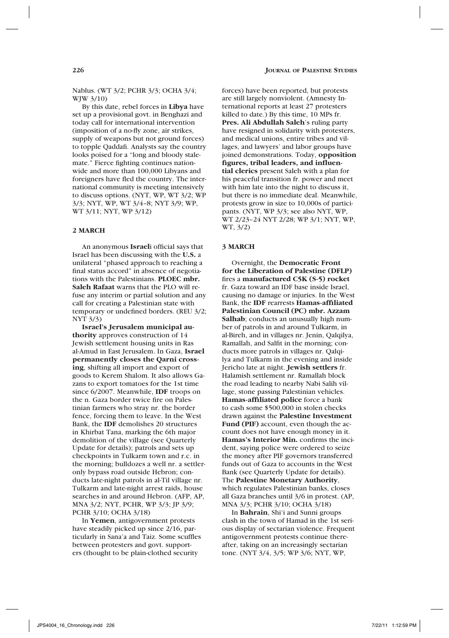Nablus. (WT 3/2; PCHR 3/3; OCHA 3/4; WJW 3/10)

By this date, rebel forces in **Libya** have set up a provisional govt. in Benghazi and today call for international intervention (imposition of a no-fly zone, air strikes, supply of weapons but not ground forces) to topple Qaddafi. Analysts say the country looks poised for a "long and bloody stalemate." Fierce fighting continues nationwide and more than 100,000 Libyans and foreigners have fled the country. The international community is meeting intensively to discuss options. (NYT, WP, WT 3/2; WP 3/3; NYT, WP, WT 3/4–8; NYT 3/9; WP, WT 3/11; NYT, WP 3/12)

# **2 MARCH**

An anonymous **Israel**i official says that Israel has been discussing with the **U.S.** a unilateral "phased approach to reaching a final status accord" in absence of negotiations with the Palestinians. **PLOEC mbr. Saleh Rafaat** warns that the PLO will refuse any interim or partial solution and any call for creating a Palestinian state with temporary or undefined borders. (REU 3/2; NYT 3/3)

**Israel's Jerusalem municipal authority** approves construction of 14 Jewish settlement housing units in Ras al-Amud in East Jerusalem. In Gaza, **Israel permanently closes the Qarni crossing**, shifting all import and export of goods to Kerem Shalom. It also allows Gazans to export tomatoes for the 1st time since 6/2007. Meanwhile, **IDF** troops on the n. Gaza border twice fire on Palestinian farmers who stray nr. the border fence, forcing them to leave. In the West Bank, the **IDF** demolishes 20 structures in Khirbat Tana, marking the 6th major demolition of the village (see Quarterly Update for details); patrols and sets up checkpoints in Tulkarm town and r.c. in the morning; bulldozes a well nr. a settleronly bypass road outside Hebron; conducts late-night patrols in al-Til village nr. Tulkarm and late-night arrest raids, house searches in and around Hebron. (AFP, AP, MNA 3/2; NYT, PCHR, WP 3/3; JP 3/9; PCHR 3/10; OCHA 3/18)

In **Yemen**, antigovernment protests have steadily picked up since 2/16, particularly in Sana'a and Taiz. Some scuffles between protesters and govt. supporters (thought to be plain-clothed security

forces) have been reported, but protests are still largely nonviolent. (Amnesty International reports at least 27 protesters killed to date.) By this time, 10 MPs fr. **Pres. Ali Abdullah Saleh**'s ruling party have resigned in solidarity with protesters, and medical unions, entire tribes and villages, and lawyers' and labor groups have joined demonstrations. Today, **opposition figures, tribal leaders, and influential clerics** present Saleh with a plan for his peaceful transition fr. power and meet with him late into the night to discuss it, but there is no immediate deal. Meanwhile, protests grow in size to 10,000s of participants. (NYT, WP 3/3; see also NYT, WP, WT 2/23–24 NYT 2/28; WP 3/1; NYT, WP, WT, 3/2)

#### **3 MARCH**

Overnight, the **Democratic Front for the Liberation of Palestine (DFLP)** fires a **manufactured C5K (S-5) rocket** fr. Gaza toward an IDF base inside Israel, causing no damage or injuries. In the West Bank, the **IDF** rearrests **Hamas-affiliated Palestinian Council (PC) mbr. Azzam Salhab**; conducts an unusually high number of patrols in and around Tulkarm, in al-Bireh, and in villages nr. Jenin, Qalqilya, Ramallah, and Salfit in the morning; conducts more patrols in villages nr. Qalqilya and Tulkarm in the evening and inside Jericho late at night. **Jewish settlers** fr. Halamish settlement nr. Ramallah block the road leading to nearby Nabi Salih village, stone passing Palestinian vehicles. **Hamas-affiliated police** force a bank to cash some \$500,000 in stolen checks drawn against the **Palestine Investment Fund (PIF)** account, even though the account does not have enough money in it. **Hamas's Interior Min.** confirms the incident, saying police were ordered to seize the money after PIF governors transferred funds out of Gaza to accounts in the West Bank (see Quarterly Update for details). The **Palestine Monetary Authority**, which regulates Palestinian banks, closes all Gaza branches until 3/6 in protest. (AP, MNA 3/3; PCHR 3/10; OCHA 3/18)

In **Bahrain**, Shi'i and Sunni groups clash in the town of Hamad in the 1st serious display of sectarian violence. Frequent antigovernment protests continue thereafter, taking on an increasingly sectarian tone. (NYT 3/4, 3/5; WP 3/6; NYT, WP,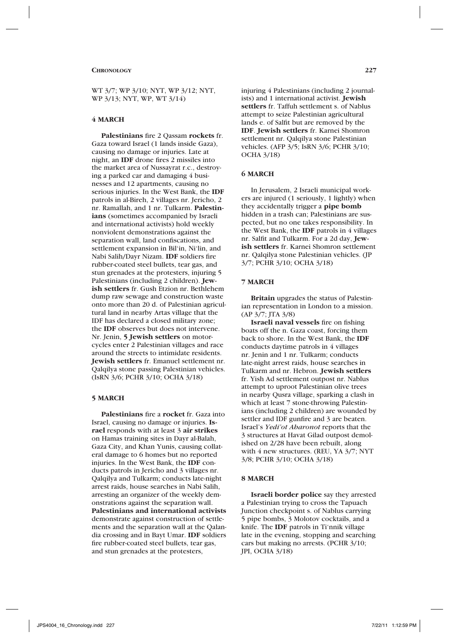WT 3/7; WP 3/10; NYT, WP 3/12; NYT, WP 3/13; NYT, WP, WT 3/14)

# **4 MARCH**

**Palestinians** fire 2 Qassam **rockets** fr. Gaza toward Israel (1 lands inside Gaza), causing no damage or injuries. Late at night, an **IDF** drone fires 2 missiles into the market area of Nussayrat r.c., destroying a parked car and damaging 4 businesses and 12 apartments, causing no serious injuries. In the West Bank, the **IDF**  patrols in al-Bireh, 2 villages nr. Jericho, 2 nr. Ramallah, and 1 nr. Tulkarm. **Palestinians** (sometimes accompanied by Israeli and international activists) hold weekly nonviolent demonstrations against the separation wall, land confiscations, and settlement expansion in Bil'in, Ni'lin, and Nabi Salih/Dayr Nizam. **IDF** soldiers fire rubber-coated steel bullets, tear gas, and stun grenades at the protesters, injuring 5 Palestinians (including 2 children). **Jewish settlers** fr. Gush Etzion nr. Bethlehem dump raw sewage and construction waste onto more than 20 d. of Palestinian agricultural land in nearby Artas village that the IDF has declared a closed military zone; the **IDF** observes but does not intervene. Nr. Jenin, **5 Jewish settlers** on motorcycles enter 2 Palestinian villages and race around the streets to intimidate residents. **Jewish settlers** fr. Emanuel settlement nr. Qalqilya stone passing Palestinian vehicles. (IsRN 3/6; PCHR 3/10; OCHA 3/18)

### **5 MARCH**

**Palestinians** fire a **rocket** fr. Gaza into Israel, causing no damage or injuries. **Israel** responds with at least 3 **air strikes** on Hamas training sites in Dayr al-Balah, Gaza City, and Khan Yunis, causing collateral damage to 6 homes but no reported injuries. In the West Bank, the **IDF** conducts patrols in Jericho and 3 villages nr. Qalqilya and Tulkarm; conducts late-night arrest raids, house searches in Nabi Salih, arresting an organizer of the weekly demonstrations against the separation wall. **Palestinians and international activists** demonstrate against construction of settlements and the separation wall at the Qalandia crossing and in Bayt Umar. **IDF** soldiers fire rubber-coated steel bullets, tear gas, and stun grenades at the protesters,

injuring 4 Palestinians (including 2 journalists) and 1 international activist. **Jewish settlers** fr. Taffuh settlement s. of Nablus attempt to seize Palestinian agricultural lands e. of Salfit but are removed by the **IDF**. **Jewish settlers** fr. Karnei Shomron settlement nr. Qalqilya stone Palestinian vehicles. (AFP 3/5; IsRN 3/6; PCHR 3/10; OCHA 3/18)

#### **6 MARCH**

In Jerusalem, 2 Israeli municipal workers are injured (1 seriously, 1 lightly) when they accidentally trigger a **pipe bomb** hidden in a trash can; Palestinians are suspected, but no one takes responsibility. In the West Bank, the **IDF** patrols in 4 villages nr. Salfit and Tulkarm. For a 2d day, **Jewish settlers** fr. Karnei Shomron settlement nr. Qalqilya stone Palestinian vehicles. (JP 3/7; PCHR 3/10; OCHA 3/18)

### **7 MARCH**

**Britain** upgrades the status of Palestinian representation in London to a mission. (AP 3/7; JTA 3/8)

**Israeli naval vessels** fire on fishing boats off the n. Gaza coast, forcing them back to shore. In the West Bank, the **IDF**  conducts daytime patrols in 4 villages nr. Jenin and 1 nr. Tulkarm; conducts late-night arrest raids, house searches in Tulkarm and nr. Hebron. **Jewish settlers** fr. Yish Ad settlement outpost nr. Nablus attempt to uproot Palestinian olive trees in nearby Qusra village, sparking a clash in which at least 7 stone-throwing Palestinians (including 2 children) are wounded by settler and IDF gunfire and 3 are beaten. Israel's *Yedi'ot Aharonot* reports that the 3 structures at Havat Gilad outpost demolished on 2/28 have been rebuilt, along with 4 new structures. (REU, YA 3/7; NYT 3/8; PCHR 3/10; OCHA 3/18)

### **8 MARCH**

**Israeli border police** say they arrested a Palestinian trying to cross the Tapuach Junction checkpoint s. of Nablus carrying 5 pipe bombs, 3 Molotov cocktails, and a knife. The **IDF** patrols in Ti'nnik village late in the evening, stopping and searching cars but making no arrests. (PCHR 3/10; JPI, OCHA 3/18)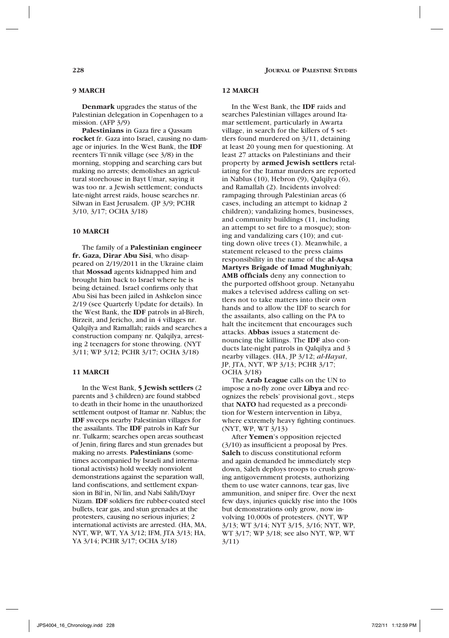### **9 MARCH**

**Denmark** upgrades the status of the Palestinian delegation in Copenhagen to a mission. (AFP 3/9)

**Palestinians** in Gaza fire a Qassam **rocket** fr. Gaza into Israel, causing no damage or injuries. In the West Bank, the **IDF** reenters Ti'nnik village (see 3/8) in the morning, stopping and searching cars but making no arrests; demolishes an agricultural storehouse in Bayt Umar, saying it was too nr. a Jewish settlement; conducts late-night arrest raids, house searches nr. Silwan in East Jerusalem. (JP 3/9; PCHR 3/10, 3/17; OCHA 3/18)

### **10 MARCH**

The family of a **Palestinian engineer fr. Gaza, Dirar Abu Sisi**, who disappeared on 2/19/2011 in the Ukraine claim that **Mossad** agents kidnapped him and brought him back to Israel where he is being detained. Israel confirms only that Abu Sisi has been jailed in Ashkelon since 2/19 (see Quarterly Update for details). In the West Bank, the **IDF** patrols in al-Bireh, Birzeit, and Jericho, and in 4 villages nr. Qalqilya and Ramallah; raids and searches a construction company nr. Qalqilya, arresting 2 teenagers for stone throwing. (NYT 3/11; WP 3/12; PCHR 3/17; OCHA 3/18)

# **11 MARCH**

In the West Bank, **5 Jewish settlers** (2 parents and 3 children) are found stabbed to death in their home in the unauthorized settlement outpost of Itamar nr. Nablus; the **IDF** sweeps nearby Palestinian villages for the assailants. The **IDF** patrols in Kafr Sur nr. Tulkarm; searches open areas southeast of Jenin, firing flares and stun grenades but making no arrests. **Palestinians** (sometimes accompanied by Israeli and international activists) hold weekly nonviolent demonstrations against the separation wall, land confiscations, and settlement expansion in Bil'in, Ni'lin, and Nabi Salih/Dayr Nizam. **IDF** soldiers fire rubber-coated steel bullets, tear gas, and stun grenades at the protesters, causing no serious injuries; 2 international activists are arrested. (HA, MA, NYT, WP, WT, YA 3/12; IFM, JTA 3/13; HA, YA 3/14; PCHR 3/17; OCHA 3/18)

### **12 MARCH**

In the West Bank, the **IDF** raids and searches Palestinian villages around Itamar settlement, particularly in Awarta village, in search for the killers of 5 settlers found murdered on 3/11, detaining at least 20 young men for questioning. At least 27 attacks on Palestinians and their property by **armed Jewish settlers** retaliating for the Itamar murders are reported in Nablus (10), Hebron (9), Qalqilya (6), and Ramallah (2). Incidents involved: rampaging through Palestinian areas (6 cases, including an attempt to kidnap 2 children); vandalizing homes, businesses, and community buildings (11, including an attempt to set fire to a mosque); stoning and vandalizing cars (10); and cutting down olive trees (1). Meanwhile, a statement released to the press claims responsibility in the name of the **al-Aqsa Martyrs Brigade of Imad Mughniyah**; **AMB officials** deny any connection to the purported offshoot group. Netanyahu makes a televised address calling on settlers not to take matters into their own hands and to allow the IDF to search for the assailants, also calling on the PA to halt the incitement that encourages such attacks. **Abbas** issues a statement denouncing the killings. The **IDF** also conducts late-night patrols in Qalqilya and 3 nearby villages. (HA, JP 3/12; *al-Hayat*, JP, JTA, NYT, WP 3/13; PCHR 3/17; OCHA 3/18)

The **Arab League** calls on the UN to impose a no-fly zone over **Libya** and recognizes the rebels' provisional govt., steps that **NATO** had requested as a precondition for Western intervention in Libya, where extremely heavy fighting continues. (NYT, WP, WT 3/13)

After **Yemen**'s opposition rejected (3/10) as insufficient a proposal by Pres. **Saleh** to discuss constitutional reform and again demanded he immediately step down, Saleh deploys troops to crush growing antigovernment protests, authorizing them to use water cannons, tear gas, live ammunition, and sniper fire. Over the next few days, injuries quickly rise into the 100s but demonstrations only grow, now involving 10,000s of protesters. (NYT, WP 3/13; WT 3/14; NYT 3/15, 3/16; NYT, WP, WT 3/17; WP 3/18; see also NYT, WP, WT 3/11)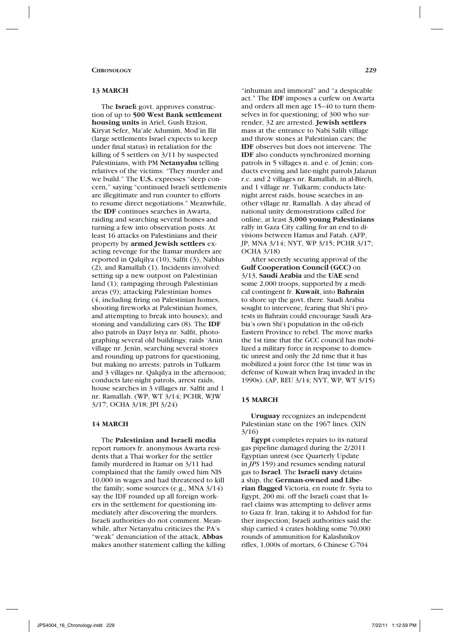### **13 MARCH**

The **Israel**i govt. approves construction of up to **500 West Bank settlement housing units** in Ariel, Gush Etzion, Kiryat Sefer, Ma'ale Adumim, Mod'in Ilit (large settlements Israel expects to keep under final status) in retaliation for the killing of 5 settlers on 3/11 by suspected Palestinians, with PM **Netanyahu** telling relatives of the victims: "They murder and we build." The **U.S.** expresses "deep concern," saying "continued Israeli settlements are illegitimate and run counter to efforts to resume direct negotiations." Meanwhile, the **IDF** continues searches in Awarta, raiding and searching several homes and turning a few into observation posts. At least 16 attacks on Palestinians and their property by **armed Jewish settlers** exacting revenge for the Itamar murders are reported in Qalqilya (10), Salfit (3), Nablus (2), and Ramallah (1). Incidents involved: setting up a new outpost on Palestinian land (1); rampaging through Palestinian areas (9); attacking Palestinian homes (4, including firing on Palestinian homes, shooting fireworks at Palestinian homes, and attempting to break into houses); and stoning and vandalizing cars (8). The **IDF**  also patrols in Dayr Istya nr. Salfit, photographing several old buildings; raids 'Anin village nr. Jenin, searching several stores and rounding up patrons for questioning, but making no arrests; patrols in Tulkarm and 3 villages nr. Qalqilya in the afternoon; conducts late-night patrols, arrest raids, house searches in 3 villages nr. Salfit and 1 nr. Ramallah. (WP, WT 3/14; PCHR, WJW 3/17; OCHA 3/18; JPI 3/24)

# **14 MARCH**

The **Palestinian and Israeli media** report rumors fr. anonymous Awarta residents that a Thai worker for the settler family murdered in Itamar on 3/11 had complained that the family owed him NIS 10,000 in wages and had threatened to kill the family; some sources (e.g., MNA 3/14) say the IDF rounded up all foreign workers in the settlement for questioning immediately after discovering the murders. Israeli authorities do not comment. Meanwhile, after Netanyahu criticizes the PA's "weak" denunciation of the attack, **Abbas** makes another statement calling the killing

"inhuman and immoral" and "a despicable act." The **IDF** imposes a curfew on Awarta and orders all men age 15–40 to turn themselves in for questioning; of 300 who surrender, 32 are arrested. **Jewish settlers**  mass at the entrance to Nabi Salih village and throw stones at Palestinian cars; the **IDF** observes but does not intervene. The **IDF** also conducts synchronized morning patrols in 5 villages n. and e. of Jenin; conducts evening and late-night patrols Jalazun r.c. and 2 villages nr. Ramallah, in al-Bireh, and 1 village nr. Tulkarm; conducts latenight arrest raids, house searches in another village nr. Ramallah. A day ahead of national unity demonstrations called for online, at least **3,000 young Palestinians** rally in Gaza City calling for an end to divisions between Hamas and Fatah. (AFP, JP, MNA 3/14; NYT, WP 3/15; PCHR 3/17; OCHA 3/18)

After secretly securing approval of the **Gulf Cooperation Council (GCC)** on 3/13, **Saudi Arabia** and the **UAE** send some 2,000 troops, supported by a medical contingent fr. **Kuwait**, into **Bahrain** to shore up the govt. there. Saudi Arabia sought to intervene, fearing that Shi'i protests in Bahrain could encourage Saudi Arabia's own Shi'i population in the oil-rich Eastern Province to rebel. The move marks the 1st time that the GCC council has mobilized a military force in response to domestic unrest and only the 2d time that it has mobilized a joint force (the 1st time was in defense of Kuwait when Iraq invaded in the 1990s). (AP, REU 3/14; NYT, WP, WT 3/15)

### **15 MARCH**

**Uruguay** recognizes an independent Palestinian state on the 1967 lines. (XIN 3/16)

**Egypt** completes repairs to its natural gas pipeline damaged during the 2/2011 Egyptian unrest (see Quarterly Update in *JPS* 159) and resumes sending natural gas to **Israel**. The **Israeli navy** detains a ship, the **German-owned and Liberian flagged** Victoria, en route fr. Syria to Egypt, 200 mi. off the Israeli coast that Israel claims was attempting to deliver arms to Gaza fr. Iran, taking it to Ashdod for further inspection; Israeli authorities said the ship carried 4 crates holding some 70,000 rounds of ammunition for Kalashnikov rifles, 1,000s of mortars, 6 Chinese C-704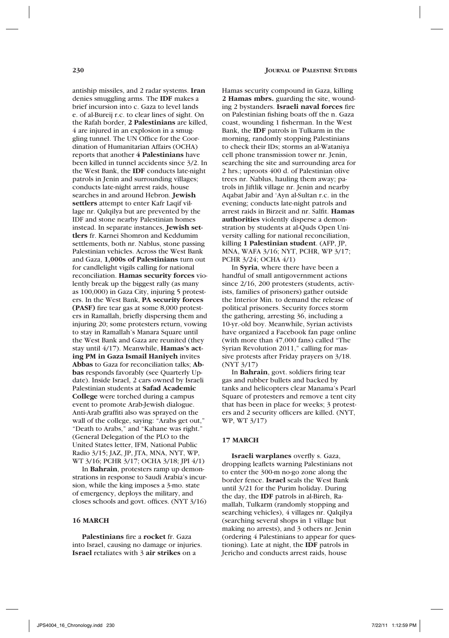antiship missiles, and 2 radar systems. **Iran** denies smuggling arms. The **IDF** makes a brief incursion into c. Gaza to level lands e. of al-Bureij r.c. to clear lines of sight. On the Rafah border, **2 Palestinians** are killed, 4 are injured in an explosion in a smuggling tunnel. The UN Office for the Coordination of Humanitarian Affairs (OCHA) reports that another **4 Palestinians** have been killed in tunnel accidents since 3/2. In the West Bank, the **IDF** conducts late-night patrols in Jenin and surrounding villages; conducts late-night arrest raids, house searches in and around Hebron. **Jewish settlers** attempt to enter Kafr Laqif village nr. Qalqilya but are prevented by the IDF and stone nearby Palestinian homes instead. In separate instances, **Jewish settlers** fr. Karnei Shomron and Keddumim settlements, both nr. Nablus, stone passing Palestinian vehicles. Across the West Bank and Gaza, **1,000s of Palestinians** turn out for candlelight vigils calling for national reconciliation. **Hamas security forces** violently break up the biggest rally (as many as 100,000) in Gaza City, injuring 5 protesters. In the West Bank, **PA security forces (PASF)** fire tear gas at some 8,000 protesters in Ramallah, briefly dispersing them and injuring 20; some protesters return, vowing to stay in Ramallah's Manara Square until the West Bank and Gaza are reunited (they stay until 4/17). Meanwhile, **Hamas's acting PM in Gaza Ismail Haniyeh** invites **Abbas** to Gaza for reconciliation talks; **Abbas** responds favorably (see Quarterly Update). Inside Israel, 2 cars owned by Israeli Palestinian students at **Safad Academic College** were torched during a campus event to promote Arab-Jewish dialogue. Anti-Arab graffiti also was sprayed on the wall of the college, saying: "Arabs get out," "Death to Arabs," and "Kahane was right." (General Delegation of the PLO to the United States letter, IFM, National Public Radio 3/15; JAZ, JP, JTA, MNA, NYT, WP, WT 3/16; PCHR 3/17; OCHA 3/18; JPI 4/1)

In **Bahrain**, protesters ramp up demonstrations in response to Saudi Arabia's incursion, while the king imposes a 3-mo. state of emergency, deploys the military, and closes schools and govt. offices. (NYT 3/16)

# **16 MARCH**

**Palestinians** fire a **rocket** fr. Gaza into Israel, causing no damage or injuries. **Israel** retaliates with 3 **air strikes** on a

Hamas security compound in Gaza, killing **2 Hamas mbrs.** guarding the site, wounding 2 bystanders. **Israeli naval forces** fire on Palestinian fishing boats off the n. Gaza coast, wounding 1 fisherman. In the West Bank, the **IDF** patrols in Tulkarm in the morning, randomly stopping Palestinians to check their IDs; storms an al-Wataniya cell phone transmission tower nr. Jenin, searching the site and surrounding area for 2 hrs.; uproots 400 d. of Palestinian olive trees nr. Nablus, hauling them away; patrols in Jiftlik village nr. Jenin and nearby Aqabat Jabir and 'Ayn al-Sultan r.c. in the evening; conducts late-night patrols and arrest raids in Birzeit and nr. Salfit. **Hamas authorities** violently disperse a demonstration by students at al-Quds Open University calling for national reconciliation, killing **1 Palestinian student**. (AFP, JP, MNA, WAFA 3/16; NYT, PCHR, WP 3/17; PCHR 3/24; OCHA 4/1)

In **Syria**, where there have been a handful of small antigovernment actions since 2/16, 200 protesters (students, activists, families of prisoners) gather outside the Interior Min. to demand the release of political prisoners. Security forces storm the gathering, arresting 36, including a 10-yr.-old boy. Meanwhile, Syrian activists have organized a Facebook fan page online (with more than 47,000 fans) called "The Syrian Revolution 2011," calling for massive protests after Friday prayers on 3/18. (NYT 3/17)

In **Bahrain**, govt. soldiers firing tear gas and rubber bullets and backed by tanks and helicopters clear Manama's Pearl Square of protesters and remove a tent city that has been in place for weeks; 3 protesters and 2 security officers are killed. (NYT, WP, WT 3/17)

#### **17 MARCH**

**Israeli warplanes** overfly s. Gaza, dropping leaflets warning Palestinians not to enter the 300-m no-go zone along the border fence. **Israel** seals the West Bank until 3/21 for the Purim holiday. During the day, the **IDF** patrols in al-Bireh, Ramallah, Tulkarm (randomly stopping and searching vehicles), 4 villages nr. Qalqilya (searching several shops in 1 village but making no arrests), and 3 others nr. Jenin (ordering 4 Palestinians to appear for questioning). Late at night, the **IDF** patrols in Jericho and conducts arrest raids, house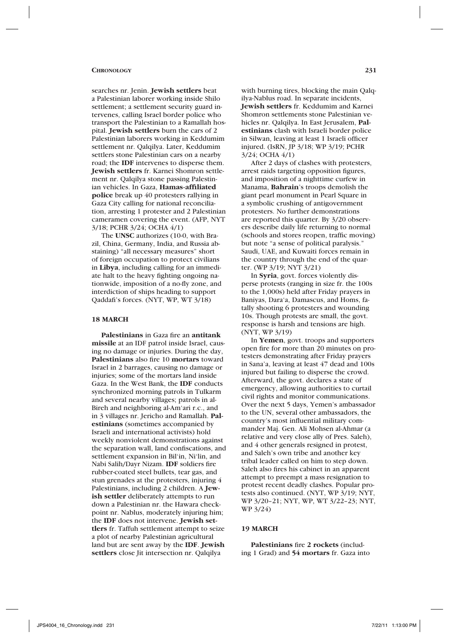searches nr. Jenin. **Jewish settlers** beat a Palestinian laborer working inside Shilo settlement; a settlement security guard intervenes, calling Israel border police who transport the Palestinian to a Ramallah hospital. **Jewish settlers** burn the cars of 2 Palestinian laborers working in Keddumim settlement nr. Qalqilya. Later, Keddumim settlers stone Palestinian cars on a nearby road; the **IDF** intervenes to disperse them. **Jewish settlers** fr. Karnei Shomron settlement nr. Qalqilya stone passing Palestinian vehicles. In Gaza, **Hamas-affiliated police** break up 40 protesters rallying in Gaza City calling for national reconciliation, arresting 1 protester and 2 Palestinian cameramen covering the event. (AFP, NYT 3/18; PCHR 3/24; OCHA 4/1)

The **UNSC** authorizes (10-0, with Brazil, China, Germany, India, and Russia abstaining) "all necessary measures" short of foreign occupation to protect civilians in **Libya**, including calling for an immediate halt to the heavy fighting ongoing nationwide, imposition of a no-fly zone, and interdiction of ships heading to support Qaddafi's forces. (NYT, WP, WT 3/18)

#### **18 MARCH**

**Palestinians** in Gaza fire an **antitank missile** at an IDF patrol inside Israel, causing no damage or injuries. During the day, **Palestinians** also fire 10 **mortars** toward Israel in 2 barrages, causing no damage or injuries; some of the mortars land inside Gaza. In the West Bank, the **IDF** conducts synchronized morning patrols in Tulkarm and several nearby villages; patrols in al-Bireh and neighboring al-Am'ari r.c., and in 3 villages nr. Jericho and Ramallah. **Palestinians** (sometimes accompanied by Israeli and international activists) hold weekly nonviolent demonstrations against the separation wall, land confiscations, and settlement expansion in Bil'in, Ni'lin, and Nabi Salih/Dayr Nizam. **IDF** soldiers fire rubber-coated steel bullets, tear gas, and stun grenades at the protesters, injuring 4 Palestinians, including 2 children. A **Jewish settler** deliberately attempts to run down a Palestinian nr. the Hawara checkpoint nr. Nablus, moderately injuring him; the **IDF** does not intervene. **Jewish settlers** fr. Taffuh settlement attempt to seize a plot of nearby Palestinian agricultural land but are sent away by the **IDF**. **Jewish settlers** close Jit intersection nr. Qalqilya

with burning tires, blocking the main Qalqilya-Nablus road. In separate incidents, **Jewish settlers** fr. Keddumim and Karnei Shomron settlements stone Palestinian vehicles nr. Qalqilya. In East Jerusalem, **Palestinians** clash with Israeli border police in Silwan, leaving at least 1 Israeli officer injured. (IsRN, JP 3/18; WP 3/19; PCHR 3/24; OCHA 4/1)

After 2 days of clashes with protesters, arrest raids targeting opposition figures, and imposition of a nighttime curfew in Manama, **Bahrain**'s troops demolish the giant pearl monument in Pearl Square in a symbolic crushing of antigovernment protesters. No further demonstrations are reported this quarter. By 3/20 observers describe daily life returning to normal (schools and stores reopen, traffic moving) but note "a sense of political paralysis." Saudi, UAE, and Kuwaiti forces remain in the country through the end of the quarter. (WP 3/19; NYT 3/21)

In **Syria**, govt. forces violently disperse protests (ranging in size fr. the 100s to the 1,000s) held after Friday prayers in Baniyas, Dara'a, Damascus, and Homs, fatally shooting 6 protesters and wounding 10s. Though protests are small, the govt. response is harsh and tensions are high. (NYT, WP 3/19)

In **Yemen**, govt. troops and supporters open fire for more than 20 minutes on protesters demonstrating after Friday prayers in Sana'a, leaving at least 47 dead and 100s injured but failing to disperse the crowd. Afterward, the govt. declares a state of emergency, allowing authorities to curtail civil rights and monitor communications. Over the next 5 days, Yemen's ambassador to the UN, several other ambassadors, the country's most influential military commander Maj. Gen. Ali Mohsen al-Ahmar (a relative and very close ally of Pres. Saleh), and 4 other generals resigned in protest, and Saleh's own tribe and another key tribal leader called on him to step down. Saleh also fires his cabinet in an apparent attempt to preempt a mass resignation to protest recent deadly clashes. Popular protests also continued. (NYT, WP 3/19; NYT, WP 3/20–21; NYT, WP, WT 3/22–23; NYT, WP 3/24)

### **19 MARCH**

**Palestinians** fire **2 rockets** (including 1 Grad) and **54 mortars** fr. Gaza into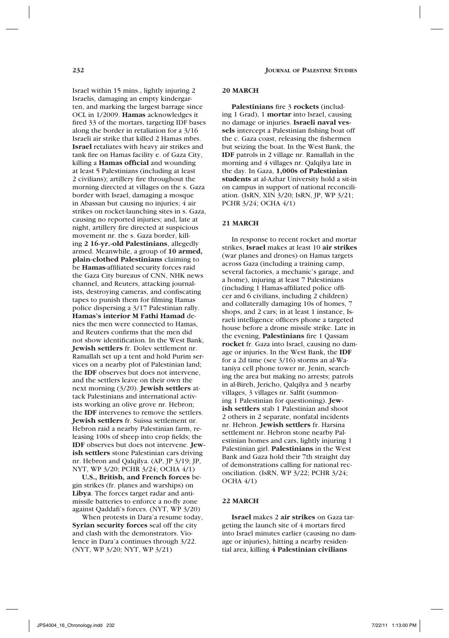Israel within 15 mins., lightly injuring 2 Israelis, damaging an empty kindergarten, and marking the largest barrage since OCL in 1/2009. **Hamas** acknowledges it fired 33 of the mortars, targeting IDF bases along the border in retaliation for a 3/16 Israeli air strike that killed 2 Hamas mbrs. **Israel** retaliates with heavy air strikes and tank fire on Hamas facility e. of Gaza City, killing a **Hamas official** and wounding at least 5 Palestinians (including at least 2 civilians); artillery fire throughout the morning directed at villages on the s. Gaza border with Israel, damaging a mosque in Abassan but causing no injuries; 4 air strikes on rocket-launching sites in s. Gaza, causing no reported injuries; and, late at night, artillery fire directed at suspicious movement nr. the s. Gaza border, killing **2 16-yr.-old Palestinians**, allegedly armed. Meanwhile, a group of **10 armed, plain-clothed Palestinians** claiming to be **Hamas**-affiliated security forces raid the Gaza City bureaus of CNN, NHK news channel, and Reuters, attacking journalists, destroying cameras, and confiscating tapes to punish them for filming Hamas police dispersing a 3/17 Palestinian rally. **Hamas's interior M Fathi Hamad** denies the men were connected to Hamas, and Reuters confirms that the men did not show identification. In the West Bank, **Jewish settlers** fr. Dolev settlement nr. Ramallah set up a tent and hold Purim services on a nearby plot of Palestinian land; the **IDF** observes but does not intervene, and the settlers leave on their own the next morning (3/20). **Jewish settlers** attack Palestinians and international activists working an olive grove nr. Hebron; the **IDF** intervenes to remove the settlers. **Jewish settlers** fr. Suissa settlement nr. Hebron raid a nearby Palestinian farm, releasing 100s of sheep into crop fields; the **IDF** observes but does not intervene. **Jewish settlers** stone Palestinian cars driving nr. Hebron and Qalqilya. (AP, JP 3/19; JP, NYT, WP 3/20; PCHR 3/24; OCHA 4/1)

**U.S., British, and French forces** begin strikes (fr. planes and warships) on **Libya**. The forces target radar and antimissile batteries to enforce a no-fly zone against Qaddafi's forces. (NYT, WP 3/20)

When protests in Dara'a resume today, **Syrian security forces** seal off the city and clash with the demonstrators. Violence in Dara'a continues through 3/22. (NYT, WP 3/20; NYT, WP 3/21)

### **20 MARCH**

**Palestinians** fire 3 **rockets** (including 1 Grad), 1 **mortar** into Israel, causing no damage or injuries. **Israeli naval vessels** intercept a Palestinian fishing boat off the c. Gaza coast, releasing the fishermen but seizing the boat. In the West Bank, the **IDF** patrols in 2 village nr. Ramallah in the morning and 4 villages nr. Qalqilya late in the day. In Gaza, **1,000s of Palestinian students** at al-Azhar University hold a sit-in on campus in support of national reconciliation. (IsRN, XIN 3/20; IsRN, JP, WP 3/21; PCHR 3/24; OCHA 4/1)

# **21 MARCH**

In response to recent rocket and mortar strikes, **Israel** makes at least 10 **air strikes** (war planes and drones) on Hamas targets across Gaza (including a training camp, several factories, a mechanic's garage, and a home), injuring at least 7 Palestinians (including 1 Hamas-affiliated police officer and 6 civilians, including 2 children) and collaterally damaging 10s of homes, 7 shops, and 2 cars; in at least 1 instance, Israeli intelligence officers phone a targeted house before a drone missile strike. Late in the evening, **Palestinians** fire 1 Qassam **rocket** fr. Gaza into Israel, causing no damage or injuries. In the West Bank, the **IDF**  for a 2d time (see 3/16) storms an al-Wataniya cell phone tower nr. Jenin, searching the area but making no arrests; patrols in al-Bireh, Jericho, Qalqilya and 3 nearby villages, 3 villages nr. Salfit (summoning 1 Palestinian for questioning). **Jewish settlers** stab 1 Palestinian and shoot 2 others in 2 separate, nonfatal incidents nr. Hebron. **Jewish settlers** fr. Harsina settlement nr. Hebron stone nearby Palestinian homes and cars, lightly injuring 1 Palestinian girl. **Palestinians** in the West Bank and Gaza hold their 7th straight day of demonstrations calling for national reconciliation. (IsRN, WP 3/22; PCHR 3/24;  $OCHA$  4/1)

# **22 MARCH**

**Israel** makes 2 **air strikes** on Gaza targeting the launch site of 4 mortars fired into Israel minutes earlier (causing no damage or injuries), hitting a nearby residential area, killing **4 Palestinian civilians**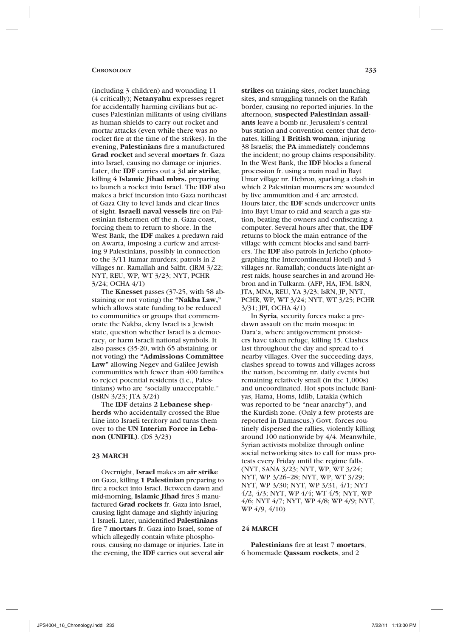#### **Chronology 233**

(including 3 children) and wounding 11 (4 critically); **Netanyahu** expresses regret for accidentally harming civilians but accuses Palestinian militants of using civilians as human shields to carry out rocket and mortar attacks (even while there was no rocket fire at the time of the strikes). In the evening, **Palestinians** fire a manufactured **Grad rocket** and several **mortars** fr. Gaza into Israel, causing no damage or injuries. Later, the **IDF** carries out a 3d **air strike**, killing **4 Islamic Jihad mbrs.** preparing to launch a rocket into Israel. The **IDF** also makes a brief incursion into Gaza northeast of Gaza City to level lands and clear lines of sight. **Israeli naval vessels** fire on Palestinian fishermen off the n. Gaza coast, forcing them to return to shore. In the West Bank, the **IDF** makes a predawn raid on Awarta, imposing a curfew and arresting 9 Palestinians, possibly in connection to the 3/11 Itamar murders; patrols in 2 villages nr. Ramallah and Salfit. (IRM 3/22; NYT, REU, WP, WT 3/23; NYT, PCHR 3/24; OCHA 4/1)

The **Knesset** passes (37-25, with 58 abstaining or not voting) the **"Nakba Law,"** which allows state funding to be reduced to communities or groups that commemorate the Nakba, deny Israel is a Jewish state, question whether Israel is a democracy, or harm Israeli national symbols. It also passes (35-20, with 65 abstaining or not voting) the **"Admissions Committee Law"** allowing Negev and Galilee Jewish communities with fewer than 400 families to reject potential residents (i.e., Palestinians) who are "socially unacceptable." (IsRN 3/23; JTA 3/24)

The **IDF** detains **2 Lebanese shepherds** who accidentally crossed the Blue Line into Israeli territory and turns them over to the **UN Interim Force in Lebanon (UNIFIL)**. (DS 3/23)

### **23 MARCH**

Overnight, **Israel** makes an **air strike**  on Gaza, killing **1 Palestinian** preparing to fire a rocket into Israel. Between dawn and mid-morning, **Islamic Jihad** fires 3 manufactured **Grad rockets** fr. Gaza into Israel, causing light damage and slightly injuring 1 Israeli. Later, unidentified **Palestinians** fire 7 **mortars** fr. Gaza into Israel, some of which allegedly contain white phosphorous, causing no damage or injuries. Late in the evening, the **IDF** carries out several **air** 

**strikes** on training sites, rocket launching sites, and smuggling tunnels on the Rafah border, causing no reported injuries. In the afternoon, **suspected Palestinian assailants** leave a bomb nr. Jerusalem's central bus station and convention center that detonates, killing **1 British woman**, injuring 38 Israelis; the **PA** immediately condemns the incident; no group claims responsibility. In the West Bank, the **IDF** blocks a funeral procession fr. using a main road in Bayt Umar village nr. Hebron, sparking a clash in which 2 Palestinian mourners are wounded by live ammunition and 4 are arrested. Hours later, the **IDF** sends undercover units into Bayt Umar to raid and search a gas station, beating the owners and confiscating a computer. Several hours after that, the **IDF** returns to block the main entrance of the village with cement blocks and sand barriers. The **IDF** also patrols in Jericho (photographing the Intercontinental Hotel) and 3 villages nr. Ramallah; conducts late-night arrest raids, house searches in and around Hebron and in Tulkarm. (AFP, HA, IFM, IsRN, JTA, MNA, REU, YA 3/23; IsRN, JP, NYT, PCHR, WP, WT 3/24; NYT, WT 3/25; PCHR 3/31; JPI, OCHA 4/1)

In **Syria**, security forces make a predawn assault on the main mosque in Dara'a, where antigovernment protesters have taken refuge, killing 15. Clashes last throughout the day and spread to 4 nearby villages. Over the succeeding days, clashes spread to towns and villages across the nation, becoming nr. daily events but remaining relatively small (in the 1,000s) and uncoordinated. Hot spots include Baniyas, Hama, Homs, Idlib, Latakia (which was reported to be "near anarchy"), and the Kurdish zone. (Only a few protests are reported in Damascus.) Govt. forces routinely dispersed the rallies, violently killing around 100 nationwide by 4/4. Meanwhile, Syrian activists mobilize through online social networking sites to call for mass protests every Friday until the regime falls. (NYT, SANA 3/23; NYT, WP, WT 3/24; NYT, WP 3/26–28; NYT, WP, WT 3/29; NYT, WP 3/30; NYT, WP 3/31, 4/1; NYT 4/2, 4/3; NYT, WP 4/4; WT 4/5; NYT, WP 4/6; NYT 4/7; NYT, WP 4/8; WP 4/9; NYT, WP 4/9, 4/10)

# **24 MARCH**

**Palestinians** fire at least 7 **mortars**, 6 homemade **Qassam rockets**, and 2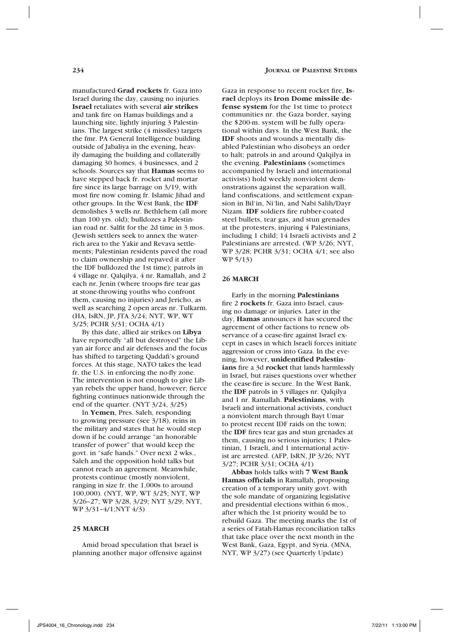manufactured **Grad rockets** fr. Gaza into Israel during the day, causing no injuries. **Israel** retaliates with several **air strikes** and tank fire on Hamas buildings and a launching site, lightly injuring 3 Palestinians. The largest strike (4 missiles) targets the fmr. PA General Intelligence building outside of Jabaliya in the evening, heavily damaging the building and collaterally damaging 30 homes, 4 businesses, and 2 schools. Sources say that **Hamas** seems to have stepped back fr. rocket and mortar fire since its large barrage on 3/19, with most fire now coming fr. Islamic Jihad and other groups. In the West Bank, the **IDF** demolishes 3 wells nr. Bethlehem (all more than 100 yrs. old); bulldozes a Palestinian road nr. Salfit for the 2d time in 3 mos. (Jewish settlers seek to annex the waterrich area to the Yakir and Revava settlements; Palestinian residents paved the road to claim ownership and repaved it after the IDF bulldozed the 1st time); patrols in 4 village nr. Qalqilya, 4 nr. Ramallah, and 2 each nr. Jenin (where troops fire tear gas at stone-throwing youths who confront them, causing no injuries) and Jericho, as well as searching 2 open areas nr. Tulkarm. (HA, IsRN, JP, JTA 3/24; NYT, WP, WT 3/25; PCHR 3/31; OCHA 4/1)

By this date, allied air strikes on **Libya**  have reportedly "all but destroyed" the Libyan air force and air defenses and the focus has shifted to targeting Qaddafi's ground forces. At this stage, NATO takes the lead fr. the U.S. in enforcing the no-fly zone. The intervention is not enough to give Libyan rebels the upper hand, however; fierce fighting continues nationwide through the end of the quarter. (NYT 3/24, 3/25)

In **Yemen**, Pres. Saleh, responding to growing pressure (see 3/18), reins in the military and states that he would step down if he could arrange "an honorable transfer of power" that would keep the govt. in "safe hands." Over next 2 wks., Saleh and the opposition hold talks but cannot reach an agreement. Meanwhile, protests continue (mostly nonviolent, ranging in size fr. the 1,000s to around 100,000). (NYT, WP, WT 3/25; NYT, WP 3/26–27; WP 3/28, 3/29; NYT 3/29; NYT, WP 3/31–4/1;NYT 4/3)

### **25 MARCH**

Amid broad speculation that Israel is planning another major offensive against Gaza in response to recent rocket fire, **Israel** deploys its **Iron Dome missile defense system** for the 1st time to protect communities nr. the Gaza border, saying the \$200-m. system will be fully operational within days. In the West Bank, the **IDF** shoots and wounds a mentally disabled Palestinian who disobeys an order to halt; patrols in and around Qalqilya in the evening. **Palestinians** (sometimes accompanied by Israeli and international activists) hold weekly nonviolent demonstrations against the separation wall, land confiscations, and settlement expansion in Bil'in, Ni'lin, and Nabi Salih/Dayr Nizam. **IDF** soldiers fire rubber-coated steel bullets, tear gas, and stun grenades at the protesters, injuring 4 Palestinians, including 1 child; 14 Israeli activists and 2 Palestinians are arrested. (WP 3/26; NYT, WP 3/28; PCHR 3/31; OCHA 4/1; see also WP 5/13)

# **26 MARCH**

Early in the morning **Palestinians** fire 2 **rockets** fr. Gaza into Israel, causing no damage or injuries. Later in the day, **Hamas** announces it has secured the agreement of other factions to renew observance of a cease-fire against Israel except in cases in which Israeli forces initiate aggression or cross into Gaza. In the evening, however, **unidentified Palestinians** fire a 3d **rocket** that lands harmlessly in Israel, but raises questions over whether the cease-fire is secure. In the West Bank, the **IDF** patrols in 3 villages nr. Qalqilya and 1 nr. Ramallah. **Palestinians**, with Israeli and international activists, conduct a nonviolent march through Bayt Umar to protest recent IDF raids on the town; the **IDF** fires tear gas and stun grenades at them, causing no serious injuries; 1 Palestinian, 1 Israeli, and 1 international activist are arrested. (AFP, IsRN, JP 3/26; NYT 3/27; PCHR 3/31; OCHA 4/1)

**Abbas** holds talks with **7 West Bank Hamas officials** in Ramallah, proposing creation of a temporary unity govt. with the sole mandate of organizing legislative and presidential elections within 6 mos., after which the 1st priority would be to rebuild Gaza. The meeting marks the 1st of a series of Fatah-Hamas reconciliation talks that take place over the next month in the West Bank, Gaza, Egypt, and Syria. (MNA, NYT, WP 3/27) (see Quarterly Update)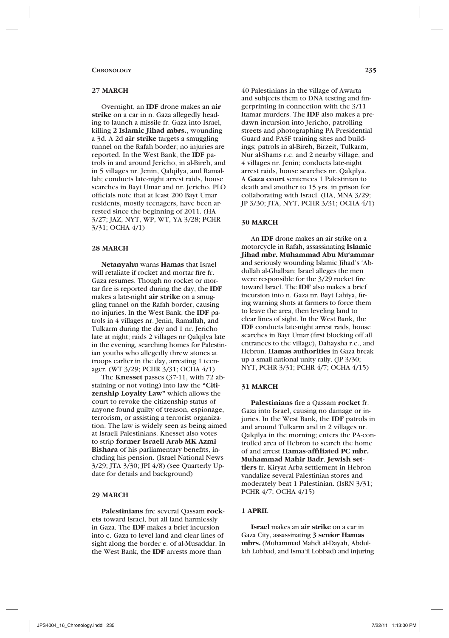### **27 MARCH**

Overnight, an **IDF** drone makes an **air strike** on a car in n. Gaza allegedly heading to launch a missile fr. Gaza into Israel, killing **2 Islamic Jihad mbrs.**, wounding a 3d. A 2d **air strike** targets a smuggling tunnel on the Rafah border; no injuries are reported. In the West Bank, the **IDF** patrols in and around Jericho, in al-Bireh, and in 5 villages nr. Jenin, Qalqilya, and Ramallah; conducts late-night arrest raids, house searches in Bayt Umar and nr. Jericho. PLO officials note that at least 200 Bayt Umar residents, mostly teenagers, have been arrested since the beginning of 2011. (HA 3/27; JAZ, NYT, WP, WT, YA 3/28; PCHR 3/31; OCHA 4/1)

# **28 MARCH**

**Netanyahu** warns **Hamas** that Israel will retaliate if rocket and mortar fire fr. Gaza resumes. Though no rocket or mortar fire is reported during the day, the **IDF** makes a late-night **air strike** on a smuggling tunnel on the Rafah border, causing no injuries. In the West Bank, the **IDF** patrols in 4 villages nr. Jenin, Ramallah, and Tulkarm during the day and 1 nr. Jericho late at night; raids 2 villages nr Qalqilya late in the evening, searching homes for Palestinian youths who allegedly threw stones at troops earlier in the day, arresting 1 teenager. (WT 3/29; PCHR 3/31; OCHA 4/1)

The **Knesset** passes (37-11, with 72 abstaining or not voting) into law the **"Citizenship Loyalty Law"** which allows the court to revoke the citizenship status of anyone found guilty of treason, espionage, terrorism, or assisting a terrorist organization. The law is widely seen as being aimed at Israeli Palestinians. Knesset also votes to strip **former Israeli Arab MK Azmi Bishara** of his parliamentary benefits, including his pension. (Israel National News 3/29; JTA 3/30; JPI 4/8) (see Quarterly Update for details and background)

### **29 MARCH**

**Palestinians** fire several Qassam **rockets** toward Israel, but all land harmlessly in Gaza. The **IDF** makes a brief incursion into c. Gaza to level land and clear lines of sight along the border e. of al-Musaddar. In the West Bank, the **IDF** arrests more than

40 Palestinians in the village of Awarta and subjects them to DNA testing and fingerprinting in connection with the 3/11 Itamar murders. The **IDF** also makes a predawn incursion into Jericho, patrolling streets and photographing PA Presidential Guard and PASF training sites and buildings; patrols in al-Bireh, Birzeit, Tulkarm, Nur al-Shams r.c. and 2 nearby village, and 4 villages nr. Jenin; conducts late-night arrest raids, house searches nr. Qalqilya. A **Gaza court** sentences 1 Palestinian to death and another to 15 yrs. in prison for collaborating with Israel. (HA, MNA 3/29; JP 3/30; JTA, NYT, PCHR 3/31; OCHA 4/1)

#### **30 MARCH**

An **IDF** drone makes an air strike on a motorcycle in Rafah, assassinating **Islamic Jihad mbr. Muhammad Abu Mu'ammar**  and seriously wounding Islamic Jihad's 'Abdullah al-Ghalban; Israel alleges the men were responsible for the 3/29 rocket fire toward Israel. The **IDF** also makes a brief incursion into n. Gaza nr. Bayt Lahiya, firing warning shots at farmers to force them to leave the area, then leveling land to clear lines of sight. In the West Bank, the **IDF** conducts late-night arrest raids, house searches in Bayt Umar (first blocking off all entrances to the village), Dahaysha r.c., and Hebron. **Hamas authorities** in Gaza break up a small national unity rally. (JP 3/30; NYT, PCHR 3/31; PCHR 4/7; OCHA 4/15)

### **31 MARCH**

**Palestinians** fire a Qassam **rocket** fr. Gaza into Israel, causing no damage or injuries. In the West Bank, the **IDF** patrols in and around Tulkarm and in 2 villages nr. Qalqilya in the morning; enters the PA-controlled area of Hebron to search the home of and arrest **Hamas-affiliated PC mbr. Muhammad Mahir Badr**. **Jewish settlers** fr. Kiryat Arba settlement in Hebron vandalize several Palestinian stores and moderately beat 1 Palestinian. (IsRN 3/31; PCHR 4/7; OCHA 4/15)

### **1 APRIL**

**Israel** makes an **air strike** on a car in Gaza City, assassinating **3 senior Hamas mbrs.** (Muhammad Mahdi al-Dayah, Abdullah Lobbad, and Isma'il Lobbad) and injuring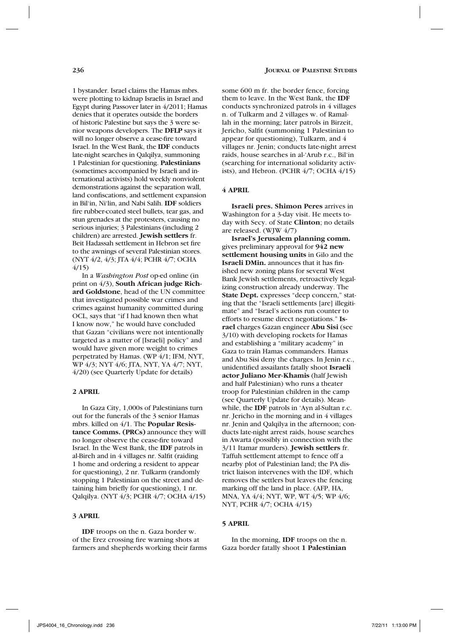1 bystander. Israel claims the Hamas mbrs. were plotting to kidnap Israelis in Israel and Egypt during Passover later in 4/2011; Hamas denies that it operates outside the borders of historic Palestine but says the 3 were senior weapons developers. The **DFLP** says it will no longer observe a cease-fire toward Israel. In the West Bank, the **IDF** conducts late-night searches in Qalqilya, summoning 1 Palestinian for questioning. **Palestinians**  (sometimes accompanied by Israeli and international activists) hold weekly nonviolent demonstrations against the separation wall, land confiscations, and settlement expansion in Bil'in, Ni'lin, and Nabi Salih. **IDF** soldiers fire rubber-coated steel bullets, tear gas, and stun grenades at the protesters, causing no serious injuries; 3 Palestinians (including 2 children) are arrested. **Jewish settlers** fr. Beit Hadassah settlement in Hebron set fire to the awnings of several Palestinian stores. (NYT 4/2, 4/3; JTA 4/4; PCHR 4/7; OCHA 4/15)

In a *Washington Post* op-ed online (in print on 4/3), **South African judge Richard Goldstone**, head of the UN committee that investigated possible war crimes and crimes against humanity committed during OCL, says that "if I had known then what I know now," he would have concluded that Gazan "civilians were not intentionally targeted as a matter of [Israeli] policy" and would have given more weight to crimes perpetrated by Hamas. (WP 4/1; IFM, NYT, WP 4/3; NYT 4/6; JTA, NYT, YA 4/7; NYT, 4/20) (see Quarterly Update for details)

# **2 APRIL**

In Gaza City, 1,000s of Palestinians turn out for the funerals of the 3 senior Hamas mbrs. killed on 4/1. The **Popular Resistance Comms. (PRCs)** announce they will no longer observe the cease-fire toward Israel. In the West Bank, the **IDF** patrols in al-Bireh and in 4 villages nr. Salfit (raiding 1 home and ordering a resident to appear for questioning), 2 nr. Tulkarm (randomly stopping 1 Palestinian on the street and detaining him briefly for questioning), 1 nr. Qalqilya. (NYT 4/3; PCHR 4/7; OCHA 4/15)

### **3 APRIL**

**IDF** troops on the n. Gaza border w. of the Erez crossing fire warning shots at farmers and shepherds working their farms

some 600 m fr. the border fence, forcing them to leave. In the West Bank, the **IDF**  conducts synchronized patrols in 4 villages n. of Tulkarm and 2 villages w. of Ramallah in the morning; later patrols in Birzeit, Jericho, Salfit (summoning 1 Palestinian to appear for questioning), Tulkarm, and 4 villages nr. Jenin; conducts late-night arrest raids, house searches in al-'Arub r.c., Bil'in (searching for international solidarity activists), and Hebron. (PCHR 4/7; OCHA 4/15)

# **4 APRIL**

**Israeli pres. Shimon Peres** arrives in Washington for a 3-day visit. He meets today with Secy. of State **Clinton**; no details are released. (WJW 4/7)

**Israel's Jerusalem planning comm.**  gives preliminary approval for **942 new settlement housing units** in Gilo and the **Israeli DMin.** announces that it has finished new zoning plans for several West Bank Jewish settlements, retroactively legalizing construction already underway. The **State Dept.** expresses "deep concern," stating that the "Israeli settlements [are] illegitimate" and "Israel's actions run counter to efforts to resume direct negotiations." **Israel** charges Gazan engineer **Abu Sisi** (see 3/10) with developing rockets for Hamas and establishing a "military academy" in Gaza to train Hamas commanders. Hamas and Abu Sisi deny the charges. In Jenin r.c., unidentified assailants fatally shoot **Israeli actor Juliano Mer-Khamis** (half Jewish and half Palestinian) who runs a theater troop for Palestinian children in the camp (see Quarterly Update for details). Meanwhile, the **IDF** patrols in 'Ayn al-Sultan r.c. nr. Jericho in the morning and in 4 villages nr. Jenin and Qalqilya in the afternoon; conducts late-night arrest raids, house searches in Awarta (possibly in connection with the 3/11 Itamar murders). **Jewish settlers** fr. Taffuh settlement attempt to fence off a nearby plot of Palestinian land; the PA district liaison intervenes with the IDF, which removes the settlers but leaves the fencing marking off the land in place. (AFP, HA, MNA, YA 4/4; NYT, WP, WT 4/5; WP 4/6; NYT, PCHR 4/7; OCHA 4/15)

### **5 APRIL**

In the morning, **IDF** troops on the n. Gaza border fatally shoot **1 Palestinian**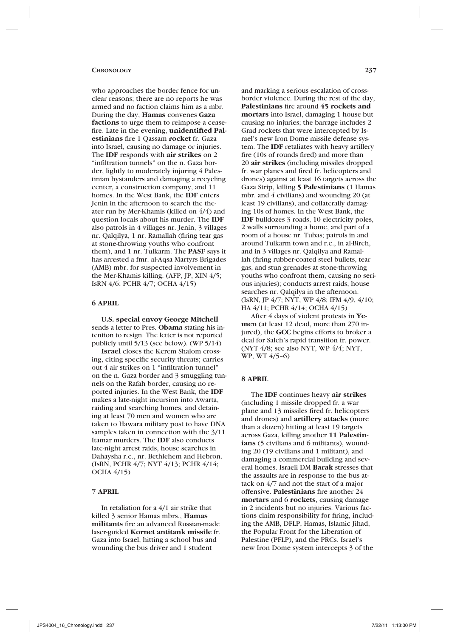#### **CHRONOLOGY** 237

who approaches the border fence for unclear reasons; there are no reports he was armed and no faction claims him as a mbr. During the day, **Hamas** convenes **Gaza factions** to urge them to reimpose a ceasefire. Late in the evening, **unidentified Palestinians** fire 1 Qassam **rocket** fr. Gaza into Israel, causing no damage or injuries. The **IDF** responds with **air strikes** on 2 "infiltration tunnels" on the n. Gaza border, lightly to moderately injuring 4 Palestinian bystanders and damaging a recycling center, a construction company, and 11 homes. In the West Bank, the **IDF** enters Jenin in the afternoon to search the theater run by Mer-Khamis (killed on 4/4) and question locals about his murder. The **IDF** also patrols in 4 villages nr. Jenin, 3 villages nr. Qalqilya, 1 nr. Ramallah (firing tear gas at stone-throwing youths who confront them), and 1 nr. Tulkarm. The **PASF** says it has arrested a fmr. al-Aqsa Martyrs Brigades (AMB) mbr. for suspected involvement in the Mer-Khamis killing. (AFP, JP, XIN 4/5; IsRN 4/6; PCHR 4/7; OCHA 4/15)

### **6 APRIL**

**U.S. special envoy George Mitchell** sends a letter to Pres. **Obama** stating his intention to resign. The letter is not reported publicly until 5/13 (see below). (WP 5/14)

**Israel** closes the Kerem Shalom crossing, citing specific security threats; carries out 4 air strikes on 1 "infiltration tunnel" on the n. Gaza border and 3 smuggling tunnels on the Rafah border, causing no reported injuries. In the West Bank, the **IDF** makes a late-night incursion into Awarta, raiding and searching homes, and detaining at least 70 men and women who are taken to Hawara military post to have DNA samples taken in connection with the 3/11 Itamar murders. The **IDF** also conducts late-night arrest raids, house searches in Dahaysha r.c., nr. Bethlehem and Hebron. (IsRN, PCHR 4/7; NYT 4/13; PCHR 4/14; OCHA 4/15)

# **7 APRIL**

In retaliation for a 4/1 air strike that killed 3 senior Hamas mbrs., **Hamas militants** fire an advanced Russian-made laser-guided **Kornet antitank missile** fr. Gaza into Israel, hitting a school bus and wounding the bus driver and 1 student

and marking a serious escalation of crossborder violence. During the rest of the day, **Palestinians** fire around **45 rockets and mortars** into Israel, damaging 1 house but causing no injuries; the barrage includes 2 Grad rockets that were intercepted by Israel's new Iron Dome missile defense system. The **IDF** retaliates with heavy artillery fire (10s of rounds fired) and more than 20 **air strikes** (including missiles dropped fr. war planes and fired fr. helicopters and drones) against at least 16 targets across the Gaza Strip, killing **5 Palestinians** (1 Hamas mbr. and 4 civilians) and wounding 20 (at least 19 civilians), and collaterally damaging 10s of homes. In the West Bank, the **IDF** bulldozes 3 roads, 10 electricity poles, 2 walls surrounding a home, and part of a room of a house nr. Tubas; patrols in and around Tulkarm town and r.c., in al-Bireh, and in 3 villages nr. Qalqilya and Ramallah (firing rubber-coated steel bullets, tear gas, and stun grenades at stone-throwing youths who confront them, causing no serious injuries); conducts arrest raids, house searches nr. Oalqilya in the afternoon. (IsRN, JP 4/7; NYT, WP 4/8; IFM 4/9, 4/10; HA 4/11; PCHR 4/14; OCHA 4/15)

After 4 days of violent protests in **Yemen** (at least 12 dead, more than 270 injured), the **GCC** begins efforts to broker a deal for Saleh's rapid transition fr. power. (NYT 4/8; see also NYT, WP 4/4; NYT, WP, WT 4/5–6)

### **8 APRIL**

The **IDF** continues heavy **air strikes** (including 1 missile dropped fr. a war plane and 13 missiles fired fr. helicopters and drones) and **artillery attacks** (more than a dozen) hitting at least 19 targets across Gaza, killing another **11 Palestinians** (5 civilians and 6 militants), wounding 20 (19 civilians and 1 militant), and damaging a commercial building and several homes. Israeli DM **Barak** stresses that the assaults are in response to the bus attack on 4/7 and not the start of a major offensive. **Palestinians** fire another 24 **mortars** and 6 **rockets**, causing damage in 2 incidents but no injuries. Various factions claim responsibility for firing, including the AMB, DFLP, Hamas, Islamic Jihad, the Popular Front for the Liberation of Palestine (PFLP), and the PRCs. Israel's new Iron Dome system intercepts 3 of the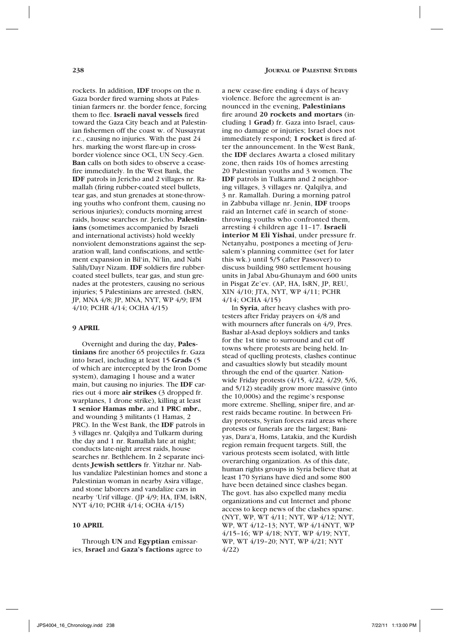rockets. In addition, **IDF** troops on the n. Gaza border fired warning shots at Palestinian farmers nr. the border fence, forcing them to flee. **Israeli naval vessels** fired toward the Gaza City beach and at Palestinian fishermen off the coast w. of Nussayrat r.c., causing no injuries. With the past 24 hrs. marking the worst flare-up in crossborder violence since OCL, UN Secy.-Gen. **Ban** calls on both sides to observe a ceasefire immediately. In the West Bank, the **IDF** patrols in Jericho and 2 villages nr. Ramallah (firing rubber-coated steel bullets, tear gas, and stun grenades at stone-throwing youths who confront them, causing no serious injuries); conducts morning arrest raids, house searches nr. Jericho. **Palestinians** (sometimes accompanied by Israeli and international activists) hold weekly nonviolent demonstrations against the separation wall, land confiscations, and settlement expansion in Bil'in, Ni'lin, and Nabi Salih/Dayr Nizam. **IDF** soldiers fire rubbercoated steel bullets, tear gas, and stun grenades at the protesters, causing no serious injuries; 5 Palestinians are arrested. (IsRN, JP, MNA 4/8; JP, MNA, NYT, WP 4/9; IFM 4/10; PCHR 4/14; OCHA 4/15)

#### **9 APRIL**

Overnight and during the day, **Palestinians** fire another 65 projectiles fr. Gaza into Israel, including at least 15 **Grads** (5 of which are intercepted by the Iron Dome system), damaging 1 house and a water main, but causing no injuries. The **IDF** carries out 4 more **air strikes** (3 dropped fr. warplanes, 1 drone strike), killing at least **1 senior Hamas mbr.** and **1 PRC mbr.**, and wounding 3 militants (1 Hamas, 2 PRC). In the West Bank, the **IDF** patrols in 3 villages nr. Qalqilya and Tulkarm during the day and 1 nr. Ramallah late at night; conducts late-night arrest raids, house searches nr. Bethlehem. In 2 separate incidents **Jewish settlers** fr. Yitzhar nr. Nablus vandalize Palestinian homes and stone a Palestinian woman in nearby Asira village, and stone laborers and vandalize cars in nearby 'Urif village. (JP 4/9; HA, IFM, IsRN, NYT 4/10; PCHR 4/14; OCHA 4/15)

### **10 APRIL**

Through **UN** and **Egyptian** emissaries, **Israel** and **Gaza's factions** agree to a new cease-fire ending 4 days of heavy violence. Before the agreement is announced in the evening, **Palestinians** fire around **20 rockets and mortars** (including 1 **Grad**) fr. Gaza into Israel, causing no damage or injuries; Israel does not immediately respond; **1 rocket** is fired after the announcement. In the West Bank, the **IDF** declares Awarta a closed military zone, then raids 10s of homes arresting 20 Palestinian youths and 3 women. The **IDF** patrols in Tulkarm and 2 neighboring villages, 3 villages nr. Qalqilya, and 3 nr. Ramallah. During a morning patrol in Zabbuba village nr. Jenin, **IDF** troops raid an Internet café in search of stonethrowing youths who confronted them, arresting 4 children age 11–17. **Israeli interior M Eli Yishai**, under pressure fr. Netanyahu, postpones a meeting of Jerusalem's planning committee (set for later this wk.) until 5/5 (after Passover) to discuss building 980 settlement housing units in Jabal Abu-Ghunaym and 600 units in Pisgat Ze'ev. (AP, HA, IsRN, JP, REU, XIN 4/10; JTA, NYT, WP 4/11; PCHR 4/14; OCHA 4/15)

In **Syria**, after heavy clashes with protesters after Friday prayers on 4/8 and with mourners after funerals on 4/9, Pres. Bashar al-Asad deploys soldiers and tanks for the 1st time to surround and cut off towns where protests are being held. Instead of quelling protests, clashes continue and casualties slowly but steadily mount through the end of the quarter. Nationwide Friday protests (4/15, 4/22, 4/29, 5/6, and 5/12) steadily grow more massive (into the 10,000s) and the regime's response more extreme. Shelling, sniper fire, and arrest raids became routine. In between Friday protests, Syrian forces raid areas where protests or funerals are the largest; Baniyas, Dara'a, Homs, Latakia, and the Kurdish region remain frequent targets. Still, the various protests seem isolated, with little overarching organization. As of this date, human rights groups in Syria believe that at least 170 Syrians have died and some 800 have been detained since clashes began. The govt. has also expelled many media organizations and cut Internet and phone access to keep news of the clashes sparse. (NYT, WP, WT 4/11; NYT, WP 4/12; NYT, WP, WT 4/12–13; NYT, WP 4/14NYT, WP 4/15–16; WP 4/18; NYT, WP 4/19; NYT, WP, WT 4/19–20; NYT, WP 4/21; NYT 4/22)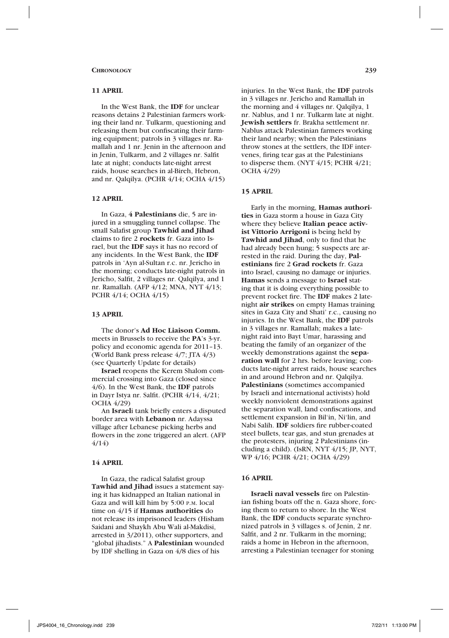### **11 APRIL**

In the West Bank, the **IDF** for unclear reasons detains 2 Palestinian farmers working their land nr. Tulkarm, questioning and releasing them but confiscating their farming equipment; patrols in 3 villages nr. Ramallah and 1 nr. Jenin in the afternoon and in Jenin, Tulkarm, and 2 villages nr. Salfit late at night; conducts late-night arrest raids, house searches in al-Bireh, Hebron, and nr. Qalqilya. (PCHR 4/14; OCHA 4/15)

### **12 APRIL**

In Gaza, **4 Palestinians** die, 5 are injured in a smuggling tunnel collapse. The small Salafist group **Tawhid and Jihad**  claims to fire 2 **rockets** fr. Gaza into Israel, but the **IDF** says it has no record of any incidents. In the West Bank, the **IDF**  patrols in 'Ayn al-Sultan r.c. nr. Jericho in the morning; conducts late-night patrols in Jericho, Salfit, 2 villages nr. Qalqilya, and 1 nr. Ramallah. (AFP 4/12; MNA, NYT 4/13; PCHR 4/14; OCHA 4/15)

### **13 APRIL**

The donor's **Ad Hoc Liaison Comm.**  meets in Brussels to receive the **PA**'s 3-yr. policy and economic agenda for 2011–13. (World Bank press release 4/7; JTA 4/3) (see Quarterly Update for details)

**Israel** reopens the Kerem Shalom commercial crossing into Gaza (closed since 4/6). In the West Bank, the **IDF** patrols in Dayr Istya nr. Salfit. (PCHR 4/14, 4/21; OCHA 4/29)

An **Israel**i tank briefly enters a disputed border area with **Lebanon** nr. Adayssa village after Lebanese picking herbs and flowers in the zone triggered an alert. (AFP 4/14)

# **14 APRIL**

In Gaza, the radical Salafist group **Tawhid and Jihad** issues a statement saying it has kidnapped an Italian national in Gaza and will kill him by 5:00 p.m. local time on 4/15 if **Hamas authorities** do not release its imprisoned leaders (Hisham Saidani and Shaykh Abu Wali al-Makdisi, arrested in 3/2011), other supporters, and "global jihadists." A **Palestinian** wounded by IDF shelling in Gaza on 4/8 dies of his

injuries. In the West Bank, the **IDF** patrols in 3 villages nr. Jericho and Ramallah in the morning and 4 villages nr. Qalqilya, 1 nr. Nablus, and 1 nr. Tulkarm late at night. **Jewish settlers** fr. Brakha settlement nr. Nablus attack Palestinian farmers working their land nearby; when the Palestinians throw stones at the settlers, the IDF intervenes, firing tear gas at the Palestinians to disperse them. (NYT 4/15; PCHR 4/21; OCHA 4/29)

### **15 APRIL**

Early in the morning, **Hamas authorities** in Gaza storm a house in Gaza City where they believe **Italian peace activist Vittorio Arrigoni** is being held by **Tawhid and Jihad**, only to find that he had already been hung; 5 suspects are arrested in the raid. During the day, **Palestinians** fire 2 **Grad rockets** fr. Gaza into Israel, causing no damage or injuries. **Hamas** sends a message to **Israel** stating that it is doing everything possible to prevent rocket fire. The **IDF** makes 2 latenight **air strikes** on empty Hamas training sites in Gaza City and Shati' r.c., causing no injuries. In the West Bank, the **IDF** patrols in 3 villages nr. Ramallah; makes a latenight raid into Bayt Umar, harassing and beating the family of an organizer of the weekly demonstrations against the **separation wall** for 2 hrs. before leaving; conducts late-night arrest raids, house searches in and around Hebron and nr. Qalqilya. **Palestinians** (sometimes accompanied by Israeli and international activists) hold weekly nonviolent demonstrations against the separation wall, land confiscations, and settlement expansion in Bil'in, Ni'lin, and Nabi Salih. **IDF** soldiers fire rubber-coated steel bullets, tear gas, and stun grenades at the protesters, injuring 2 Palestinians (including a child). (IsRN, NYT 4/15; JP, NYT, WP 4/16; PCHR 4/21; OCHA 4/29)

# **16 APRIL**

**Israeli naval vessels** fire on Palestinian fishing boats off the n. Gaza shore, forcing them to return to shore. In the West Bank, the **IDF** conducts separate synchronized patrols in 3 villages s. of Jenin, 2 nr. Salfit, and 2 nr. Tulkarm in the morning; raids a home in Hebron in the afternoon, arresting a Palestinian teenager for stoning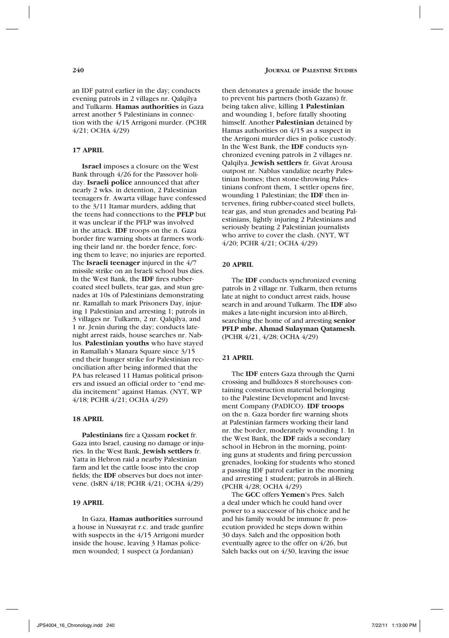an IDF patrol earlier in the day; conducts evening patrols in 2 villages nr. Qalqilya and Tulkarm. **Hamas authorities** in Gaza arrest another 5 Palestinians in connection with the 4/15 Arrigoni murder. (PCHR 4/21; OCHA 4/29)

# **17 APRIL**

**Israel** imposes a closure on the West Bank through 4/26 for the Passover holiday. **Israeli police** announced that after nearly 2 wks. in detention, 2 Palestinian teenagers fr. Awarta village have confessed to the 3/11 Itamar murders, adding that the teens had connections to the **PFLP** but it was unclear if the PFLP was involved in the attack. **IDF** troops on the n. Gaza border fire warning shots at farmers working their land nr. the border fence, forcing them to leave; no injuries are reported. The **Israeli teenager** injured in the  $4/7$ missile strike on an Israeli school bus dies. In the West Bank, the **IDF** fires rubbercoated steel bullets, tear gas, and stun grenades at 10s of Palestinians demonstrating nr. Ramallah to mark Prisoners Day, injuring 1 Palestinian and arresting 1; patrols in 3 villages nr. Tulkarm, 2 nr. Qalqilya, and 1 nr. Jenin during the day; conducts latenight arrest raids, house searches nr. Nablus. **Palestinian youths** who have stayed in Ramallah's Manara Square since 3/15 end their hunger strike for Palestinian reconciliation after being informed that the PA has released 11 Hamas political prisoners and issued an official order to "end media incitement" against Hamas. (NYT, WP 4/18; PCHR 4/21; OCHA 4/29)

### **18 APRIL**

**Palestinians** fire a Qassam **rocket** fr. Gaza into Israel, causing no damage or injuries. In the West Bank, **Jewish settlers** fr. Yatta in Hebron raid a nearby Palestinian farm and let the cattle loose into the crop fields; the **IDF** observes but does not intervene. (IsRN 4/18; PCHR 4/21; OCHA 4/29)

# **19 APRIL**

In Gaza, **Hamas authorities** surround a house in Nussayrat r.c. and trade gunfire with suspects in the 4/15 Arrigoni murder inside the house, leaving 3 Hamas policemen wounded; 1 suspect (a Jordanian)

then detonates a grenade inside the house to prevent his partners (both Gazans) fr. being taken alive, killing **1 Palestinian** and wounding 1, before fatally shooting himself. Another **Palestinian** detained by Hamas authorities on 4/15 as a suspect in the Arrigoni murder dies in police custody. In the West Bank, the **IDF** conducts synchronized evening patrols in 2 villages nr. Qalqilya. **Jewish settlers** fr. Givat Arousa outpost nr. Nablus vandalize nearby Palestinian homes; then stone-throwing Palestinians confront them, 1 settler opens fire, wounding 1 Palestinian; the **IDF** then intervenes, firing rubber-coated steel bullets, tear gas, and stun grenades and beating Palestinians, lightly injuring 2 Palestinians and seriously beating 2 Palestinian journalists who arrive to cover the clash. (NYT, WT 4/20; PCHR 4/21; OCHA 4/29)

### **20 APRIL**

The **IDF** conducts synchronized evening patrols in 2 village nr. Tulkarm, then returns late at night to conduct arrest raids, house search in and around Tulkarm. The **IDF** also makes a late-night incursion into al-Bireh, searching the home of and arresting **senior PFLP mbr. Ahmad Sulayman Qatamesh**. (PCHR 4/21, 4/28; OCHA 4/29)

# **21 APRIL**

The **IDF** enters Gaza through the Qarni crossing and bulldozes 8 storehouses containing construction material belonging to the Palestine Development and Investment Company (PADICO). **IDF troops**  on the n. Gaza border fire warning shots at Palestinian farmers working their land nr. the border, moderately wounding 1. In the West Bank, the **IDF** raids a secondary school in Hebron in the morning, pointing guns at students and firing percussion grenades, looking for students who stoned a passing IDF patrol earlier in the morning and arresting 1 student; patrols in al-Bireh. (PCHR 4/28; OCHA 4/29)

The **GCC** offers **Yemen**'s Pres. Saleh a deal under which he could hand over power to a successor of his choice and he and his family would be immune fr. prosecution provided he steps down within 30 days. Saleh and the opposition both eventually agree to the offer on 4/26, but Saleh backs out on 4/30, leaving the issue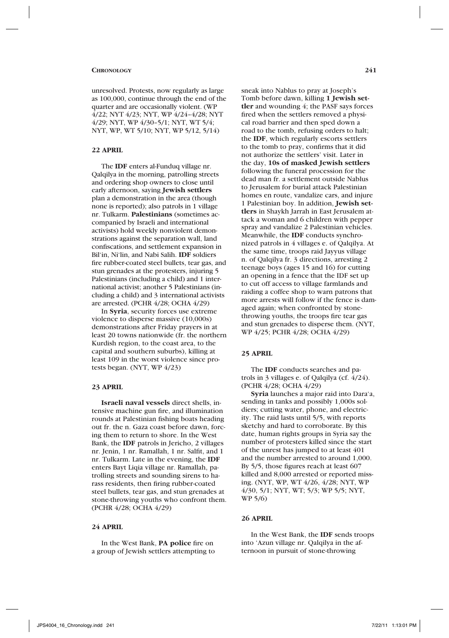unresolved. Protests, now regularly as large as 100,000, continue through the end of the quarter and are occasionally violent. (WP 4/22; NYT 4/23; NYT, WP 4/24–4/28; NYT 4/29; NYT, WP 4/30–5/1; NYT, WT 5/4; NYT, WP, WT 5/10; NYT, WP 5/12, 5/14)

# **22 APRIL**

The **IDF** enters al-Funduq village nr. Qalqilya in the morning, patrolling streets and ordering shop owners to close until early afternoon, saying **Jewish settlers** plan a demonstration in the area (though none is reported); also patrols in 1 village nr. Tulkarm. **Palestinians** (sometimes accompanied by Israeli and international activists) hold weekly nonviolent demonstrations against the separation wall, land confiscations, and settlement expansion in Bil'in, Ni'lin, and Nabi Salih. **IDF** soldiers fire rubber-coated steel bullets, tear gas, and stun grenades at the protesters, injuring 5 Palestinians (including a child) and 1 international activist; another 5 Palestinians (including a child) and 3 international activists are arrested. (PCHR 4/28; OCHA 4/29)

In **Syria**, security forces use extreme violence to disperse massive (10,000s) demonstrations after Friday prayers in at least 20 towns nationwide (fr. the northern Kurdish region, to the coast area, to the capital and southern suburbs), killing at least 109 in the worst violence since protests began. (NYT, WP 4/23)

#### **23 APRIL**

**Israeli naval vessels** direct shells, intensive machine gun fire, and illumination rounds at Palestinian fishing boats heading out fr. the n. Gaza coast before dawn, forcing them to return to shore. In the West Bank, the **IDF** patrols in Jericho, 2 villages nr. Jenin, 1 nr. Ramallah, 1 nr. Salfit, and 1 nr. Tulkarm. Late in the evening, the **IDF** enters Bayt Liqia village nr. Ramallah, patrolling streets and sounding sirens to harass residents, then firing rubber-coated steel bullets, tear gas, and stun grenades at stone-throwing youths who confront them. (PCHR 4/28; OCHA 4/29)

# **24 APRIL**

In the West Bank, **PA police** fire on a group of Jewish settlers attempting to sneak into Nablus to pray at Joseph's Tomb before dawn, killing **1 Jewish settler** and wounding 4; the PASF says forces fired when the settlers removed a physical road barrier and then sped down a road to the tomb, refusing orders to halt; the **IDF**, which regularly escorts settlers to the tomb to pray, confirms that it did not authorize the settlers' visit. Later in the day, **10s of masked Jewish settlers**  following the funeral procession for the dead man fr. a settlement outside Nablus to Jerusalem for burial attack Palestinian homes en route, vandalize cars, and injure 1 Palestinian boy. In addition, **Jewish settlers** in Shaykh Jarrah in East Jerusalem attack a woman and 6 children with pepper spray and vandalize 2 Palestinian vehicles. Meanwhile, the **IDF** conducts synchronized patrols in 4 villages e. of Qalqilya. At the same time, troops raid Jayyus village n. of Qalqilya fr. 3 directions, arresting 2 teenage boys (ages 15 and 16) for cutting an opening in a fence that the IDF set up to cut off access to village farmlands and raiding a coffee shop to warn patrons that more arrests will follow if the fence is damaged again; when confronted by stonethrowing youths, the troops fire tear gas and stun grenades to disperse them. (NYT, WP 4/25; PCHR 4/28; OCHA 4/29)

### **25 APRIL**

The **IDF** conducts searches and patrols in 3 villages e. of Qalqilya (cf. 4/24). (PCHR 4/28; OCHA 4/29)

**Syria** launches a major raid into Dara'a, sending in tanks and possibly 1,000s soldiers; cutting water, phone, and electricity. The raid lasts until 5/5, with reports sketchy and hard to corroborate. By this date, human rights groups in Syria say the number of protesters killed since the start of the unrest has jumped to at least 401 and the number arrested to around 1,000. By 5/5, those figures reach at least 607 killed and 8,000 arrested or reported missing. (NYT, WP, WT 4/26, 4/28; NYT, WP 4/30, 5/1; NYT, WT; 5/3; WP 5/5; NYT, WP 5/6)

# **26 APRIL**

In the West Bank, the **IDF** sends troops into 'Azun village nr. Qalqilya in the afternoon in pursuit of stone-throwing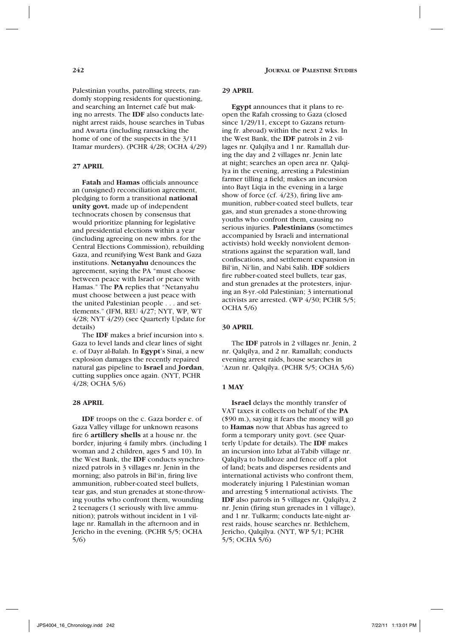Palestinian youths, patrolling streets, randomly stopping residents for questioning, and searching an Internet café but making no arrests. The **IDF** also conducts latenight arrest raids, house searches in Tubas and Awarta (including ransacking the home of one of the suspects in the 3/11 Itamar murders). (PCHR 4/28; OCHA 4/29)

### **27 APRIL**

**Fatah** and **Hamas** officials announce an (unsigned) reconciliation agreement, pledging to form a transitional **national unity govt.** made up of independent technocrats chosen by consensus that would prioritize planning for legislative and presidential elections within a year (including agreeing on new mbrs. for the Central Elections Commission), rebuilding Gaza, and reunifying West Bank and Gaza institutions. **Netanyahu** denounces the agreement, saying the PA "must choose between peace with Israel or peace with Hamas." The **PA** replies that "Netanyahu must choose between a just peace with the united Palestinian people . . . and settlements." (IFM, REU 4/27; NYT, WP, WT 4/28; NYT 4/29) (see Quarterly Update for details)

The **IDF** makes a brief incursion into s. Gaza to level lands and clear lines of sight e. of Dayr al-Balah. In **Egypt**'s Sinai, a new explosion damages the recently repaired natural gas pipeline to **Israel** and **Jordan**, cutting supplies once again. (NYT, PCHR 4/28; OCHA 5/6)

# **28 APRIL**

**IDF** troops on the c. Gaza border e. of Gaza Valley village for unknown reasons fire 6 **artillery shells** at a house nr. the border, injuring 4 family mbrs. (including 1 woman and 2 children, ages 5 and 10). In the West Bank, the **IDF** conducts synchronized patrols in 3 villages nr. Jenin in the morning; also patrols in Bil'in, firing live ammunition, rubber-coated steel bullets, tear gas, and stun grenades at stone-throwing youths who confront them, wounding 2 teenagers (1 seriously with live ammunition); patrols without incident in 1 village nr. Ramallah in the afternoon and in Jericho in the evening. (PCHR 5/5; OCHA 5/6)

### **29 APRIL**

**Egypt** announces that it plans to reopen the Rafah crossing to Gaza (closed since 1/29/11, except to Gazans returning fr. abroad) within the next 2 wks. In the West Bank, the **IDF** patrols in 2 villages nr. Qalqilya and 1 nr. Ramallah during the day and 2 villages nr. Jenin late at night; searches an open area nr. Qalqilya in the evening, arresting a Palestinian farmer tilling a field; makes an incursion into Bayt Liqia in the evening in a large show of force (cf. 4/23), firing live ammunition, rubber-coated steel bullets, tear gas, and stun grenades a stone-throwing youths who confront them, causing no serious injuries. **Palestinians** (sometimes accompanied by Israeli and international activists) hold weekly nonviolent demonstrations against the separation wall, land confiscations, and settlement expansion in Bil'in, Ni'lin, and Nabi Salih. **IDF** soldiers fire rubber-coated steel bullets, tear gas, and stun grenades at the protesters, injuring an 8-yr.-old Palestinian; 3 international activists are arrested. (WP 4/30; PCHR 5/5; OCHA 5/6)

# **30 APRIL**

The **IDF** patrols in 2 villages nr. Jenin, 2 nr. Qalqilya, and 2 nr. Ramallah; conducts evening arrest raids, house searches in 'Azun nr. Qalqilya. (PCHR 5/5; OCHA 5/6)

#### **1 MAY**

**Israel** delays the monthly transfer of VAT taxes it collects on behalf of the **PA** (\$90 m.), saying it fears the money will go to **Hamas** now that Abbas has agreed to form a temporary unity govt. (see Quarterly Update for details). The **IDF** makes an incursion into Izbat al-Tabib village nr. Qalqilya to bulldoze and fence off a plot of land; beats and disperses residents and international activists who confront them, moderately injuring 1 Palestinian woman and arresting 5 international activists. The **IDF** also patrols in 5 villages nr. Qalqilya, 2 nr. Jenin (firing stun grenades in 1 village), and 1 nr. Tulkarm; conducts late-night arrest raids, house searches nr. Bethlehem, Jericho, Qalqilya. (NYT, WP 5/1; PCHR 5/5; OCHA 5/6)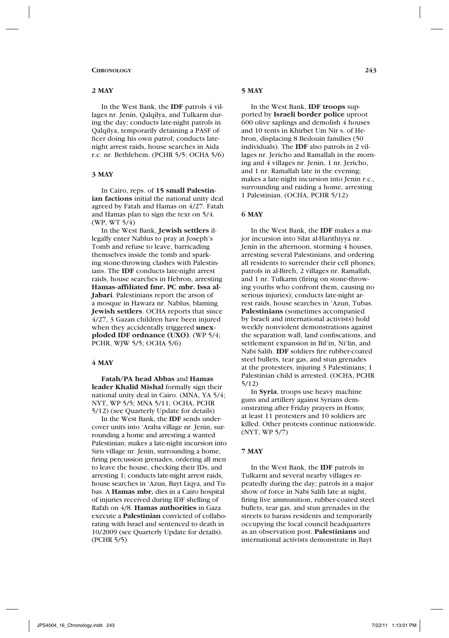#### **Chronology 243**

#### **2 MAY**

In the West Bank, the **IDF** patrols 4 villages nr. Jenin, Qalqilya, and Tulkarm during the day; conducts late-night patrols in Qalqilya, temporarily detaining a PASF officer doing his own patrol; conducts latenight arrest raids, house searches in Aida r.c. nr. Bethlehem. (PCHR 5/5; OCHA 5/6)

### **3 MAY**

In Cairo, reps. of **15 small Palestinian factions** initial the national unity deal agreed by Fatah and Hamas on 4/27. Fatah and Hamas plan to sign the text on 5/4. (WP, WT 5/4)

In the West Bank, **Jewish settlers** illegally enter Nablus to pray at Joseph's Tomb and refuse to leave, barricading themselves inside the tomb and sparking stone-throwing clashes with Palestinians. The **IDF** conducts late-night arrest raids, house searches in Hebron, arresting **Hamas-affiliated fmr. PC mbr. Issa al-Jabari**. Palestinians report the arson of a mosque in Hawara nr. Nablus, blaming **Jewish settlers**. OCHA reports that since 4/27, 3 Gazan children have been injured when they accidentally triggered **unexploded IDF ordnance (UXO)**. (WP 5/4; PCHR, WJW 5/5; OCHA 5/6)

# **4 MAY**

**Fatah/PA head Abbas** and **Hamas leader Khalid Mishal** formally sign their national unity deal in Cairo. (MNA, YA 5/4; NYT, WP 5/5; MNA 5/11; OCHA, PCHR 5/12) (see Quarterly Update for details)

In the West Bank, the **IDF** sends undercover units into 'Araba village nr. Jenin, surrounding a home and arresting a wanted Palestinian; makes a late-night incursion into Siris village nr. Jenin, surrounding a home, firing percussion grenades, ordering all men to leave the house, checking their IDs, and arresting 1; conducts late-night arrest raids, house searches in 'Azun, Bayt Liqya, and Tubas. A **Hamas mbr.** dies in a Cairo hospital of injuries received during IDF shelling of Rafah on 4/8. **Hamas authorities** in Gaza execute a **Palestinian** convicted of collaborating with Israel and sentenced to death in 10/2009 (see Quarterly Update for details). (PCHR 5/5)

### **5 MAY**

In the West Bank, **IDF troops** supported by **Israeli border police** uproot 600 olive saplings and demolish 4 houses and 10 tents in Khirbet Um Nir s. of Hebron, displacing 8 Bedouin families (50 individuals). The **IDF** also patrols in 2 villages nr. Jericho and Ramallah in the morning and 4 villages nr. Jenin, 1 nr. Jericho, and 1 nr. Ramallah late in the evening; makes a late-night incursion into Jenin r.c., surrounding and raiding a home, arresting 1 Palestinian. (OCHA, PCHR 5/12)

#### **6 MAY**

In the West Bank, the **IDF** makes a major incursion into Silat al-Harithiyya nr. Jenin in the afternoon, storming 4 houses, arresting several Palestinians, and ordering all residents to surrender their cell phones; patrols in al-Bireh, 2 villages nr. Ramallah, and 1 nr. Tulkarm (firing on stone-throwing youths who confront them, causing no serious injuries); conducts late-night arrest raids, house searches in 'Azun, Tubas. **Palestinians** (sometimes accompanied by Israeli and international activists) hold weekly nonviolent demonstrations against the separation wall, land confiscations, and settlement expansion in Bil'in, Ni'lin, and Nabi Salih. **IDF** soldiers fire rubber-coated steel bullets, tear gas, and stun grenades at the protesters, injuring 3 Palestinians; 1 Palestinian child is arrested. (OCHA, PCHR 5/12)

In **Syria**, troops use heavy machine guns and artillery against Syrians demonstrating after Friday prayers in Homs; at least 11 protesters and 10 soldiers are killed. Other protests continue nationwide. (NYT, WP 5/7)

### **7 MAY**

In the West Bank, the **IDF** patrols in Tulkarm and several nearby villages repeatedly during the day; patrols in a major show of force in Nabi Salih late at night, firing live ammunition, rubber-coated steel bullets, tear gas, and stun grenades in the streets to harass residents and temporarily occupying the local council headquarters as an observation post. **Palestinians** and international activists demonstrate in Bayt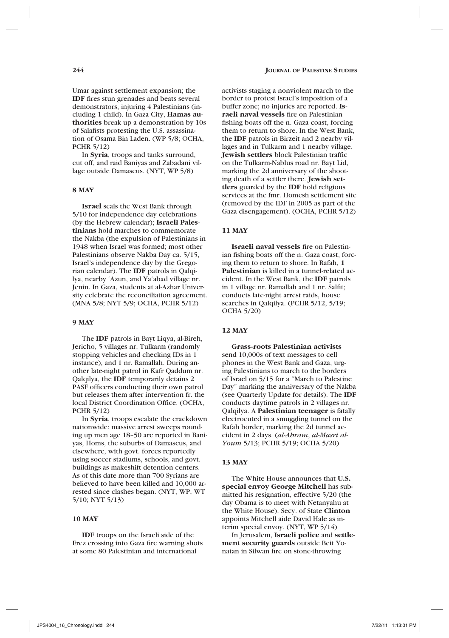Umar against settlement expansion; the **IDF** fires stun grenades and beats several demonstrators, injuring 4 Palestinians (including 1 child). In Gaza City, **Hamas authorities** break up a demonstration by 10s of Salafists protesting the U.S. assassination of Osama Bin Laden. (WP 5/8; OCHA, PCHR 5/12)

In **Syria**, troops and tanks surround, cut off, and raid Baniyas and Zabadani village outside Damascus. (NYT, WP 5/8)

# **8 MAY**

**Israel** seals the West Bank through 5/10 for independence day celebrations (by the Hebrew calendar); **Israeli Palestinians** hold marches to commemorate the Nakba (the expulsion of Palestinians in 1948 when Israel was formed; most other Palestinians observe Nakba Day ca. 5/15, Israel's independence day by the Gregorian calendar). The **IDF** patrols in Qalqilya, nearby 'Azun, and Ya'abad village nr. Jenin. In Gaza, students at al-Azhar University celebrate the reconciliation agreement. (MNA 5/8; NYT 5/9; OCHA, PCHR 5/12)

### **9 MAY**

The **IDF** patrols in Bayt Liqya, al-Bireh, Jericho, 5 villages nr. Tulkarm (randomly stopping vehicles and checking IDs in 1 instance), and 1 nr. Ramallah. During another late-night patrol in Kafr Qaddum nr. Qalqilya, the **IDF** temporarily detains 2 PASF officers conducting their own patrol but releases them after intervention fr. the local District Coordination Office. (OCHA, PCHR 5/12)

In **Syria**, troops escalate the crackdown nationwide: massive arrest sweeps rounding up men age 18–50 are reported in Baniyas, Homs, the suburbs of Damascus, and elsewhere, with govt. forces reportedly using soccer stadiums, schools, and govt. buildings as makeshift detention centers. As of this date more than 700 Syrians are believed to have been killed and 10,000 arrested since clashes began. (NYT, WP, WT 5/10; NYT 5/13)

# **10 MAY**

**IDF** troops on the Israeli side of the Erez crossing into Gaza fire warning shots at some 80 Palestinian and international

activists staging a nonviolent march to the border to protest Israel's imposition of a buffer zone; no injuries are reported. **Israeli naval vessels** fire on Palestinian fishing boats off the n. Gaza coast, forcing them to return to shore. In the West Bank, the **IDF** patrols in Birzeit and 2 nearby villages and in Tulkarm and 1 nearby village. **Jewish settlers** block Palestinian traffic on the Tulkarm-Nablus road nr. Bayt Lid, marking the 2d anniversary of the shooting death of a settler there. **Jewish settlers** guarded by the **IDF** hold religious services at the fmr. Homesh settlement site (removed by the IDF in 2005 as part of the Gaza disengagement). (OCHA, PCHR 5/12)

# **11 MAY**

**Israeli naval vessels** fire on Palestinian fishing boats off the n. Gaza coast, forcing them to return to shore. In Rafah, **1 Palestinian** is killed in a tunnel-related accident. In the West Bank, the **IDF** patrols in 1 village nr. Ramallah and 1 nr. Salfit; conducts late-night arrest raids, house searches in Qalqilya. (PCHR 5/12, 5/19; OCHA 5/20)

#### **12 MAY**

**Grass-roots Palestinian activists** send 10,000s of text messages to cell phones in the West Bank and Gaza, urging Palestinians to march to the borders of Israel on 5/15 for a "March to Palestine Day" marking the anniversary of the Nakba (see Quarterly Update for details). The **IDF**  conducts daytime patrols in 2 villages nr. Qalqilya. A **Palestinian teenager** is fatally electrocuted in a smuggling tunnel on the Rafah border, marking the 2d tunnel accident in 2 days. (*al-Ahram*, *al-Masri al-Youm* 5/13; PCHR 5/19; OCHA 5/20)

#### **13 MAY**

The White House announces that **U.S. special envoy George Mitchell** has submitted his resignation, effective 5/20 (the day Obama is to meet with Netanyahu at the White House). Secy. of State **Clinton** appoints Mitchell aide David Hale as interim special envoy. (NYT, WP 5/14)

In Jerusalem, **Israeli police** and **settlement security guards** outside Beit Yonatan in Silwan fire on stone-throwing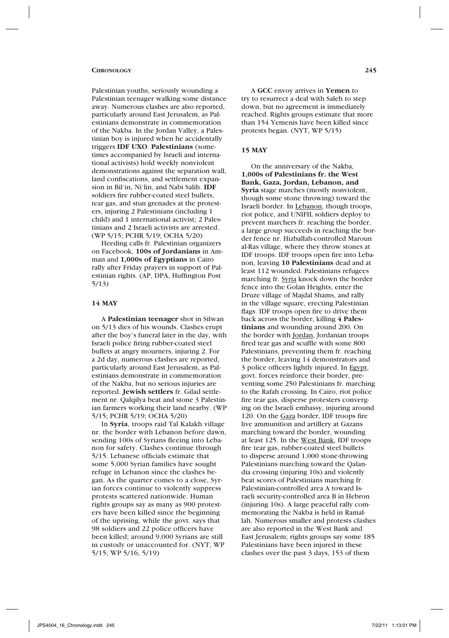#### **Chronology 245**

Palestinian youths, seriously wounding a Palestinian teenager walking some distance away. Numerous clashes are also reported, particularly around East Jerusalem, as Palestinians demonstrate in commemoration of the Nakba. In the Jordan Valley, a Palestinian boy is injured when he accidentally triggers **IDF UXO**. **Palestinians** (sometimes accompanied by Israeli and international activists) hold weekly nonviolent demonstrations against the separation wall, land confiscations, and settlement expansion in Bil'in, Ni'lin, and Nabi Salih. **IDF** soldiers fire rubber-coated steel bullets, tear gas, and stun grenades at the protesters, injuring 2 Palestinians (including 1 child) and 1 international activist; 2 Palestinians and 2 Israeli activists are arrested. (WP 5/15; PCHR 5/19; OCHA 5/20)

Heeding calls fr. Palestinian organizers on Facebook, **100s of Jordanians** in Amman and **1,000s of Egyptians** in Cairo rally after Friday prayers in support of Palestinian rights. (AP, DPA, Huffington Post 5/13)

# **14 MAY**

A **Palestinian teenager** shot in Silwan on 5/13 dies of his wounds. Clashes erupt after the boy's funeral later in the day, with Israeli police firing rubber-coated steel bullets at angry mourners, injuring 2. For a 2d day, numerous clashes are reported, particularly around East Jerusalem, as Palestinians demonstrate in commemoration of the Nakba, but no serious injuries are reported. **Jewish settlers** fr. Gilad settlement nr. Qalqilya beat and stone 3 Palestinian farmers working their land nearby. (WP 5/15; PCHR 5/19; OCHA 5/20)

In **Syria**, troops raid Tal Kalakh village nr. the border with Lebanon before dawn, sending 100s of Syrians fleeing into Lebanon for safety. Clashes continue through 5/15. Lebanese officials estimate that some 5,000 Syrian families have sought refuge in Lebanon since the clashes began. As the quarter comes to a close, Syrian forces continue to violently suppress protests scattered nationwide. Human rights groups say as many as 900 protesters have been killed since the beginning of the uprising, while the govt. says that 98 soldiers and 22 police officers have been killed; around 9,000 Syrians are still in custody or unaccounted for. (NYT, WP 5/15; WP 5/16, 5/19)

A **GCC** envoy arrives in **Yemen** to try to resurrect a deal with Saleh to step down, but no agreement is immediately reached. Rights groups estimate that more than 154 Yemenis have been killed since protests began. (NYT, WP 5/15)

### **15 MAY**

On the anniversary of the Nakba, **1,000s of Palestinians fr. the West Bank, Gaza, Jordan, Lebanon, and Syria** stage marches (mostly nonviolent, though some stone throwing) toward the Israeli border. In Lebanon, though troops, riot police, and UNIFIL soldiers deploy to prevent marchers fr. reaching the border, a large group succeeds in reaching the border fence nr. Hizballah-controlled Maroun al-Ras village, where they throw stones at IDF troops. IDF troops open fire into Lebanon, leaving **10 Palestinians** dead and at least 112 wounded. Palestinians refugees marching fr. Syria knock down the border fence into the Golan Heights, enter the Druze village of Majdal Shams, and rally in the village square, erecting Palestinian flags. IDF troops open fire to drive them back across the border, killing **4 Palestinians** and wounding around 200. On the border with Jordan, Jordanian troops fired tear gas and scuffle with some 800 Palestinians, preventing them fr. reaching the border, leaving 14 demonstrators and 3 police officers lightly injured. In Egypt, govt. forces reinforce their border, preventing some 250 Palestinians fr. marching to the Rafah crossing. In Cairo, riot police fire tear gas, disperse protesters converging on the Israeli embassy, injuring around 120. On the Gaza border, IDF troops fire live ammunition and artillery at Gazans marching toward the border, wounding at least 125. In the West Bank, IDF troops fire tear gas, rubber-coated steel bullets to disperse around 1,000 stone-throwing Palestinians marching toward the Qalandia crossing (injuring 10s) and violently beat scores of Palestinians marching fr. Palestinian-controlled area A toward Israeli security-controlled area B in Hebron (injuring 10s). A large peaceful rally commemorating the Nakba is held in Ramallah. Numerous smaller and protests clashes are also reported in the West Bank and East Jerusalem; rights groups say some 185 Palestinians have been injured in these clashes over the past 3 days, 153 of them